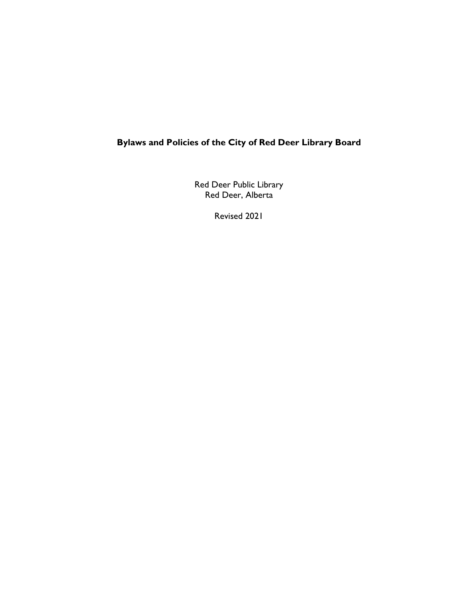# **Bylaws and Policies of the City of Red Deer Library Board**

Red Deer Public Library Red Deer, Alberta

Revised 2021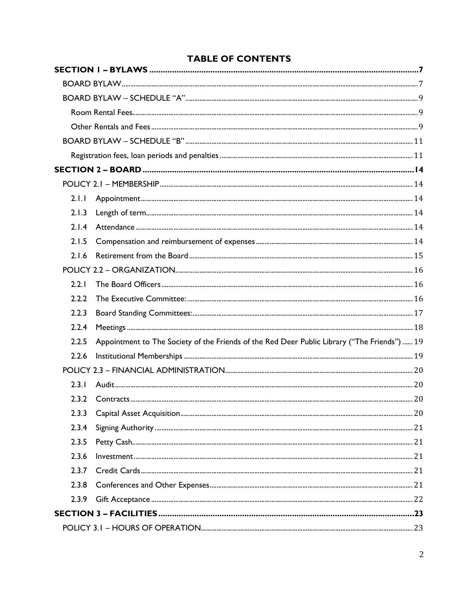# **TABLE OF CONTENTS**

| 2.1.1 |                                                                                              |  |
|-------|----------------------------------------------------------------------------------------------|--|
| 2.1.3 |                                                                                              |  |
| 2.1.4 |                                                                                              |  |
| 2.1.5 |                                                                                              |  |
| 2.1.6 |                                                                                              |  |
|       |                                                                                              |  |
| 2.2.1 |                                                                                              |  |
| 2.2.2 |                                                                                              |  |
| 2.2.3 |                                                                                              |  |
| 2.2.4 |                                                                                              |  |
| 2.2.5 | Appointment to The Society of the Friends of the Red Deer Public Library ("The Friends")  19 |  |
| 2.2.6 |                                                                                              |  |
|       |                                                                                              |  |
| 2.3.1 |                                                                                              |  |
| 2.3.2 |                                                                                              |  |
| 2.3.3 |                                                                                              |  |
| 2.3.4 |                                                                                              |  |
| 2.3.5 |                                                                                              |  |
| 2.3.6 |                                                                                              |  |
| 2.3.7 |                                                                                              |  |
| 2.3.8 |                                                                                              |  |
| 2.3.9 |                                                                                              |  |
|       |                                                                                              |  |
|       |                                                                                              |  |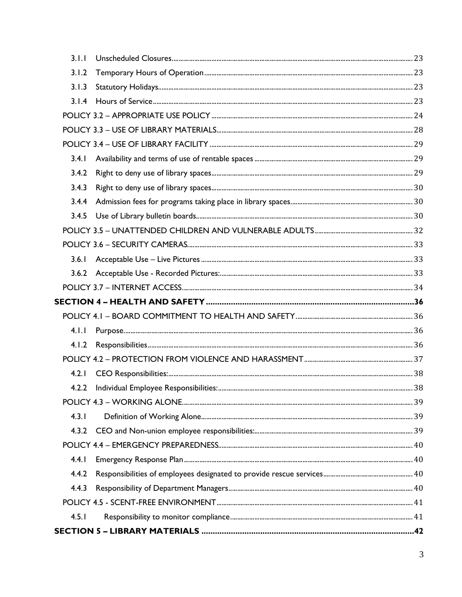| 3.1.1 |  |
|-------|--|
| 3.1.2 |  |
| 3.1.3 |  |
|       |  |
|       |  |
|       |  |
|       |  |
| 3.4.1 |  |
| 3.4.2 |  |
| 3.4.3 |  |
|       |  |
|       |  |
|       |  |
|       |  |
| 3.6.1 |  |
|       |  |
|       |  |
|       |  |
|       |  |
| 4.1.1 |  |
|       |  |
|       |  |
| 4.2.1 |  |
|       |  |
|       |  |
| 4.3.1 |  |
|       |  |
|       |  |
| 4.4.1 |  |
| 4.4.2 |  |
| 4.4.3 |  |
|       |  |
| 4.5.1 |  |
|       |  |
|       |  |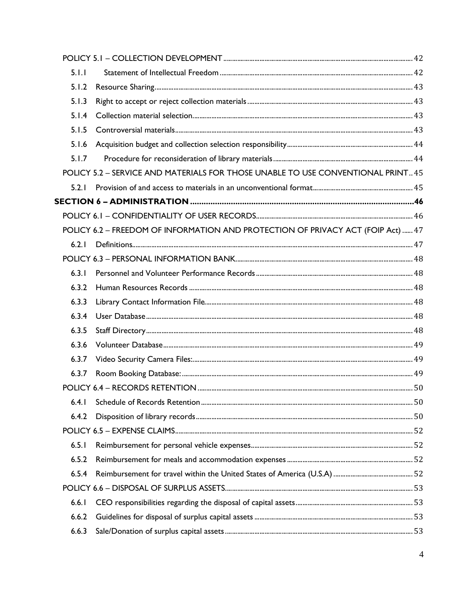| 5.1.1 |                                                                                  |    |
|-------|----------------------------------------------------------------------------------|----|
| 5.1.2 |                                                                                  |    |
| 5.1.3 |                                                                                  |    |
| 5.1.4 |                                                                                  |    |
| 5.1.5 |                                                                                  |    |
| 5.1.6 |                                                                                  |    |
| 5.1.7 |                                                                                  |    |
|       | POLICY 5.2 - SERVICE AND MATERIALS FOR THOSE UNABLE TO USE CONVENTIONAL PRINT 45 |    |
| 5.2.1 |                                                                                  |    |
|       |                                                                                  |    |
|       |                                                                                  |    |
|       | POLICY 6.2 - FREEDOM OF INFORMATION AND PROTECTION OF PRIVACY ACT (FOIP Act)  47 |    |
| 6.2.1 |                                                                                  |    |
|       |                                                                                  |    |
| 6.3.1 |                                                                                  |    |
| 6.3.2 |                                                                                  |    |
| 6.3.3 |                                                                                  |    |
| 6.3.4 |                                                                                  |    |
| 6.3.5 |                                                                                  |    |
| 6.3.6 |                                                                                  |    |
| 6.3.7 |                                                                                  |    |
| 6.3.7 |                                                                                  |    |
|       |                                                                                  | 50 |
| 6.4.1 |                                                                                  |    |
| 6.4.2 |                                                                                  |    |
|       |                                                                                  |    |
| 6.5.1 |                                                                                  |    |
| 6.5.2 |                                                                                  |    |
| 6.5.4 |                                                                                  |    |
|       |                                                                                  |    |
| 6.6.1 |                                                                                  |    |
| 6.6.2 |                                                                                  |    |
| 6.6.3 |                                                                                  |    |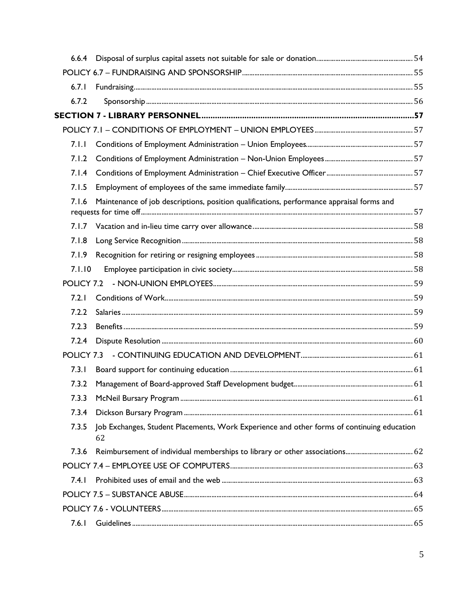| 6.7.1  |                                                                                                  |  |
|--------|--------------------------------------------------------------------------------------------------|--|
| 6.7.2  |                                                                                                  |  |
|        |                                                                                                  |  |
|        |                                                                                                  |  |
| 7.1.1  |                                                                                                  |  |
| 7.1.2  |                                                                                                  |  |
| 7.1.4  |                                                                                                  |  |
| 7.1.5  |                                                                                                  |  |
| 7.1.6  | Maintenance of job descriptions, position qualifications, performance appraisal forms and        |  |
|        |                                                                                                  |  |
| 7.1.8  |                                                                                                  |  |
|        |                                                                                                  |  |
| 7.1.10 |                                                                                                  |  |
|        |                                                                                                  |  |
| 7.2.1  |                                                                                                  |  |
| 7.2.2  |                                                                                                  |  |
| 7.2.3  |                                                                                                  |  |
| 7.2.4  |                                                                                                  |  |
|        |                                                                                                  |  |
| 7.3.1  |                                                                                                  |  |
| 7.3.2  |                                                                                                  |  |
| 7.3.3  |                                                                                                  |  |
| 7.3.4  |                                                                                                  |  |
| 7.3.5  | Job Exchanges, Student Placements, Work Experience and other forms of continuing education<br>62 |  |
| 7.3.6  |                                                                                                  |  |
|        |                                                                                                  |  |
| 7.4.1  |                                                                                                  |  |
|        |                                                                                                  |  |
|        |                                                                                                  |  |
| 7.6.1  |                                                                                                  |  |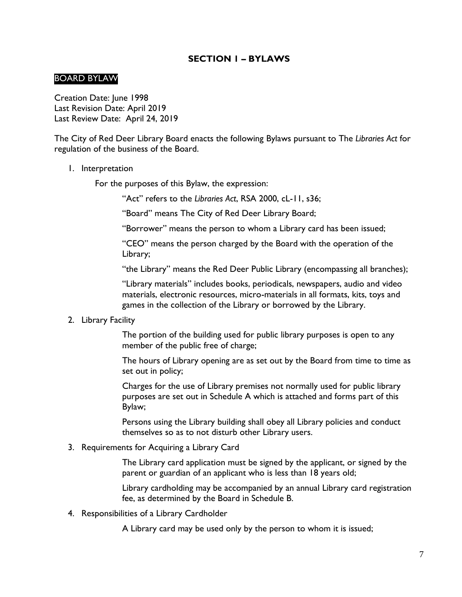### **SECTION 1 – BYLAWS**

#### <span id="page-6-1"></span><span id="page-6-0"></span>BOARD BYLAW

Creation Date: June 1998 Last Revision Date: April 2019 Last Review Date: April 24, 2019

The City of Red Deer Library Board enacts the following Bylaws pursuant to The *Libraries Act* for regulation of the business of the Board.

1. Interpretation

For the purposes of this Bylaw, the expression:

"Act" refers to the *Libraries Act*, RSA 2000, cL-11, s36;

"Board" means The City of Red Deer Library Board;

"Borrower" means the person to whom a Library card has been issued;

"CEO" means the person charged by the Board with the operation of the Library;

"the Library" means the Red Deer Public Library (encompassing all branches);

"Library materials" includes books, periodicals, newspapers, audio and video materials, electronic resources, micro-materials in all formats, kits, toys and games in the collection of the Library or borrowed by the Library.

#### 2. Library Facility

 The portion of the building used for public library purposes is open to any member of the public free of charge;

The hours of Library opening are as set out by the Board from time to time as set out in policy;

Charges for the use of Library premises not normally used for public library purposes are set out in Schedule A which is attached and forms part of this Bylaw;

Persons using the Library building shall obey all Library policies and conduct themselves so as to not disturb other Library users.

3. Requirements for Acquiring a Library Card

The Library card application must be signed by the applicant, or signed by the parent or guardian of an applicant who is less than 18 years old;

Library cardholding may be accompanied by an annual Library card registration fee, as determined by the Board in Schedule B.

4. Responsibilities of a Library Cardholder

A Library card may be used only by the person to whom it is issued;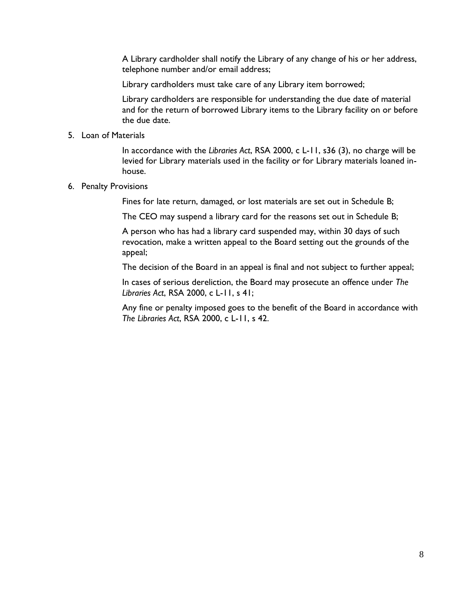A Library cardholder shall notify the Library of any change of his or her address, telephone number and/or email address;

Library cardholders must take care of any Library item borrowed;

Library cardholders are responsible for understanding the due date of material and for the return of borrowed Library items to the Library facility on or before the due date.

#### 5. Loan of Materials

In accordance with the *Libraries Act*, RSA 2000, c L-11, s36 (3), no charge will be levied for Library materials used in the facility or for Library materials loaned inhouse.

#### 6. Penalty Provisions

Fines for late return, damaged, or lost materials are set out in Schedule B;

The CEO may suspend a library card for the reasons set out in Schedule B;

A person who has had a library card suspended may, within 30 days of such revocation, make a written appeal to the Board setting out the grounds of the appeal;

The decision of the Board in an appeal is final and not subject to further appeal;

In cases of serious dereliction, the Board may prosecute an offence under *The Libraries Act*, RSA 2000, c L-11, s 41;

Any fine or penalty imposed goes to the benefit of the Board in accordance with *The Libraries Act*, RSA 2000, c L-11, s 42.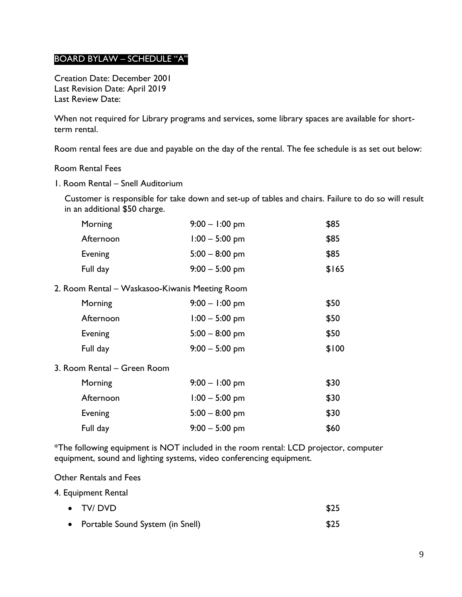### <span id="page-8-0"></span>BOARD BYLAW – SCHEDULE "A"

Creation Date: December 2001 Last Revision Date: April 2019 Last Review Date:

When not required for Library programs and services, some library spaces are available for shortterm rental.

Room rental fees are due and payable on the day of the rental. The fee schedule is as set out below:

#### <span id="page-8-1"></span>Room Rental Fees

1. Room Rental – Snell Auditorium

Customer is responsible for take down and set-up of tables and chairs. Failure to do so will result in an additional \$50 charge.

| Morning                                        | $9:00 - 1:00$ pm | \$85  |
|------------------------------------------------|------------------|-------|
| Afternoon                                      | $1:00 - 5:00$ pm | \$85  |
| <b>Evening</b>                                 | $5:00 - 8:00$ pm | \$85  |
| Full day                                       | $9:00 - 5:00$ pm | \$165 |
| 2. Room Rental – Waskasoo-Kiwanis Meeting Room |                  |       |
| Morning                                        | $9:00 - 1:00$ pm | \$50  |
| Afternoon                                      | $1:00 - 5:00$ pm | \$50  |
| Evening                                        | $5:00 - 8:00$ pm | \$50  |
| Full day                                       | $9:00 - 5:00$ pm | \$100 |
| 3. Room Rental - Green Room                    |                  |       |
| Morning                                        | $9:00 - 1:00$ pm | \$30  |
| Afternoon                                      | $1:00 - 5:00$ pm | \$30  |
| <b>Evening</b>                                 | $5:00 - 8:00$ pm | \$30  |
| Full day                                       | $9:00 - 5:00$ pm | \$60  |

\*The following equipment is NOT included in the room rental: LCD projector, computer equipment, sound and lighting systems, video conferencing equipment.

<span id="page-8-2"></span>Other Rentals and Fees

4. Equipment Rental

| $\bullet$ TV/DVD                   | \$25 |
|------------------------------------|------|
| • Portable Sound System (in Snell) | \$25 |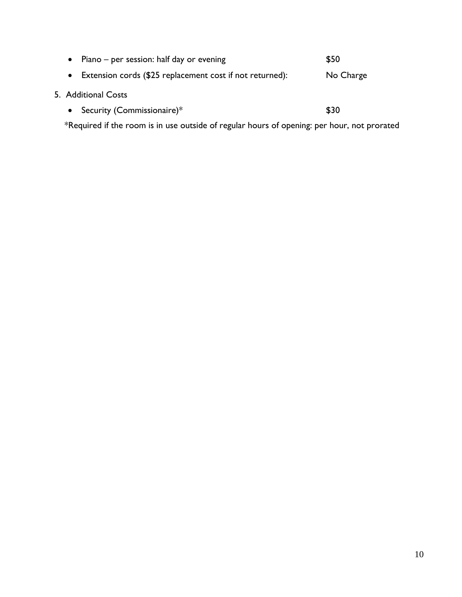|                                                                                             | • Piano – per session: half day or evening               | \$50      |
|---------------------------------------------------------------------------------------------|----------------------------------------------------------|-----------|
| $\bullet$                                                                                   | Extension cords (\$25 replacement cost if not returned): | No Charge |
|                                                                                             | 5. Additional Costs                                      |           |
|                                                                                             | • Security (Commissionaire) $*$                          | \$30      |
| *Required if the room is in use outside of regular hours of opening: per hour, not prorated |                                                          |           |

10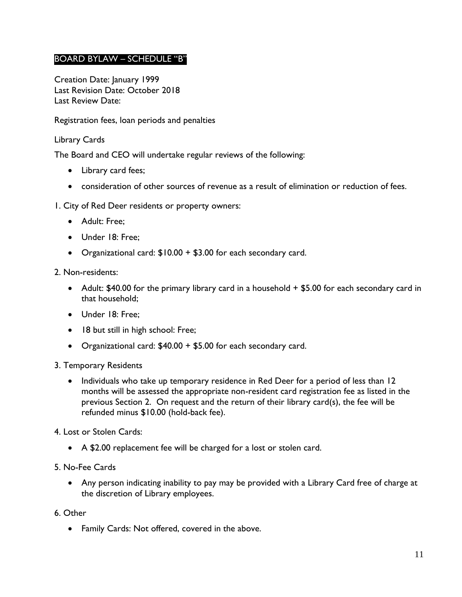## <span id="page-10-0"></span>BOARD BYLAW – SCHEDULE "B"

Creation Date: January 1999 Last Revision Date: October 2018 Last Review Date:

<span id="page-10-1"></span>Registration fees, loan periods and penalties

### Library Cards

The Board and CEO will undertake regular reviews of the following:

- Library card fees;
- consideration of other sources of revenue as a result of elimination or reduction of fees.

#### 1. City of Red Deer residents or property owners:

- Adult: Free;
- Under 18: Free;
- Organizational card: \$10.00 + \$3.00 for each secondary card.

#### 2. Non-residents:

- Adult: \$40.00 for the primary library card in a household + \$5.00 for each secondary card in that household;
- Under 18: Free;
- 18 but still in high school: Free;
- Organizational card: \$40.00 + \$5.00 for each secondary card.

#### 3. Temporary Residents

• Individuals who take up temporary residence in Red Deer for a period of less than 12 months will be assessed the appropriate non-resident card registration fee as listed in the previous Section 2. On request and the return of their library card(s), the fee will be refunded minus \$10.00 (hold-back fee).

#### 4. Lost or Stolen Cards:

A \$2.00 replacement fee will be charged for a lost or stolen card.

#### 5. No-Fee Cards

 Any person indicating inability to pay may be provided with a Library Card free of charge at the discretion of Library employees.

#### 6. Other

Family Cards: Not offered, covered in the above.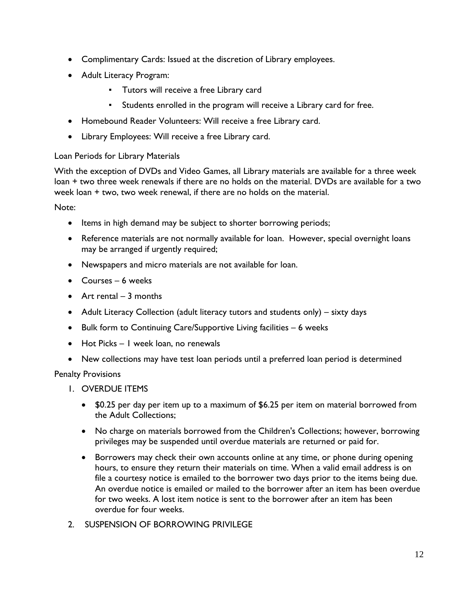- Complimentary Cards: Issued at the discretion of Library employees.
- Adult Literacy Program:
	- Tutors will receive a free Library card
	- Students enrolled in the program will receive a Library card for free.
- Homebound Reader Volunteers: Will receive a free Library card.
- Library Employees: Will receive a free Library card.

### Loan Periods for Library Materials

With the exception of DVDs and Video Games, all Library materials are available for a three week loan + two three week renewals if there are no holds on the material. DVDs are available for a two week loan + two, two week renewal, if there are no holds on the material.

Note:

- Items in high demand may be subject to shorter borrowing periods;
- Reference materials are not normally available for loan. However, special overnight loans may be arranged if urgently required;
- Newspapers and micro materials are not available for loan.
- Courses 6 weeks
- $\bullet$  Art rental 3 months
- Adult Literacy Collection (adult literacy tutors and students only) sixty days
- Bulk form to Continuing Care/Supportive Living facilities 6 weeks
- Hot Picks I week loan, no renewals
- New collections may have test loan periods until a preferred loan period is determined

Penalty Provisions

- 1. OVERDUE ITEMS
	- \$0.25 per day per item up to a maximum of \$6.25 per item on material borrowed from the Adult Collections;
	- No charge on materials borrowed from the Children's Collections; however, borrowing privileges may be suspended until overdue materials are returned or paid for.
	- Borrowers may check their own accounts online at any time, or phone during opening hours, to ensure they return their materials on time. When a valid email address is on file a courtesy notice is emailed to the borrower two days prior to the items being due. An overdue notice is emailed or mailed to the borrower after an item has been overdue for two weeks. A lost item notice is sent to the borrower after an item has been overdue for four weeks.
- 2. SUSPENSION OF BORROWING PRIVILEGE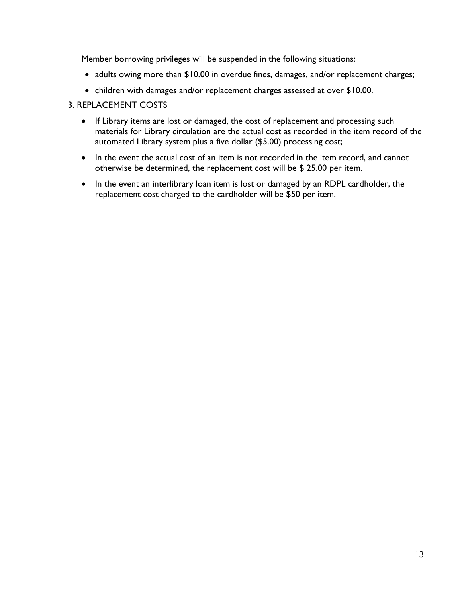Member borrowing privileges will be suspended in the following situations:

- adults owing more than \$10.00 in overdue fines, damages, and/or replacement charges;
- children with damages and/or replacement charges assessed at over \$10.00.

### 3. REPLACEMENT COSTS

- If Library items are lost or damaged, the cost of replacement and processing such materials for Library circulation are the actual cost as recorded in the item record of the automated Library system plus a five dollar (\$5.00) processing cost;
- In the event the actual cost of an item is not recorded in the item record, and cannot otherwise be determined, the replacement cost will be \$ 25.00 per item.
- In the event an interlibrary loan item is lost or damaged by an RDPL cardholder, the replacement cost charged to the cardholder will be \$50 per item.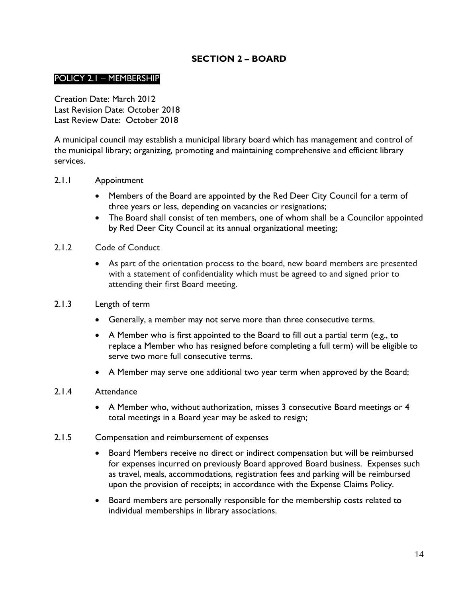## **SECTION 2 – BOARD**

### <span id="page-13-1"></span><span id="page-13-0"></span>POLICY 2.1 – MEMBERSHIP

Creation Date: March 2012 Last Revision Date: October 2018 Last Review Date: October 2018

A municipal council may establish a municipal library board which has management and control of the municipal library; organizing, promoting and maintaining comprehensive and efficient library services.

#### <span id="page-13-2"></span>2.1.1 Appointment

- Members of the Board are appointed by the Red Deer City Council for a term of three years or less, depending on vacancies or resignations;
- The Board shall consist of ten members, one of whom shall be a Councilor appointed by Red Deer City Council at its annual organizational meeting;

#### 2.1.2 Code of Conduct

 As part of the orientation process to the board, new board members are presented with a statement of confidentiality which must be agreed to and signed prior to attending their first Board meeting.

#### <span id="page-13-3"></span>2.1.3 Length of term

- Generally, a member may not serve more than three consecutive terms.
- A Member who is first appointed to the Board to fill out a partial term (e.g., to replace a Member who has resigned before completing a full term) will be eligible to serve two more full consecutive terms.
- A Member may serve one additional two year term when approved by the Board;

#### <span id="page-13-4"></span>2.1.4 Attendance

- A Member who, without authorization, misses 3 consecutive Board meetings or 4 total meetings in a Board year may be asked to resign;
- <span id="page-13-5"></span>2.1.5 Compensation and reimbursement of expenses
	- Board Members receive no direct or indirect compensation but will be reimbursed for expenses incurred on previously Board approved Board business. Expenses such as travel, meals, accommodations, registration fees and parking will be reimbursed upon the provision of receipts; in accordance with the Expense Claims Policy.
	- Board members are personally responsible for the membership costs related to individual memberships in library associations.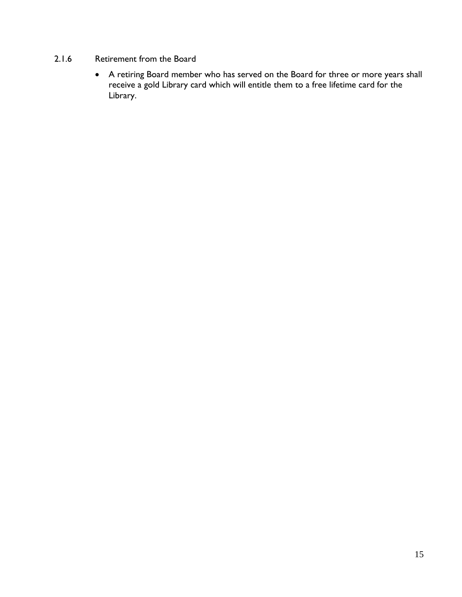### <span id="page-14-0"></span>2.1.6 Retirement from the Board

 A retiring Board member who has served on the Board for three or more years shall receive a gold Library card which will entitle them to a free lifetime card for the Library.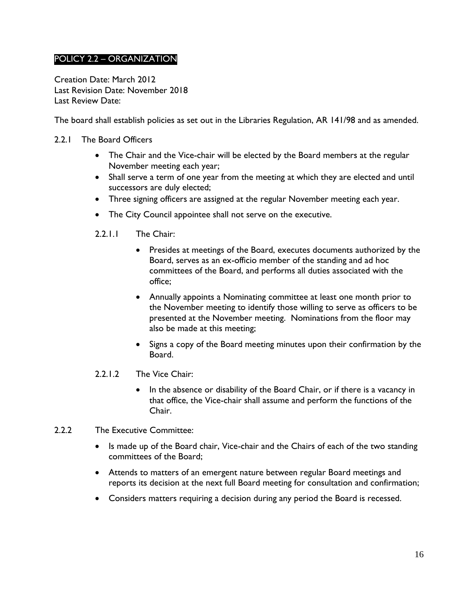# <span id="page-15-0"></span>POLICY 2.2 – ORGANIZATION

Creation Date: March 2012 Last Revision Date: November 2018 Last Review Date:

The board shall establish policies as set out in the Libraries Regulation, AR 141/98 and as amended.

- <span id="page-15-1"></span>2.2.1 The Board Officers
	- The Chair and the Vice-chair will be elected by the Board members at the regular November meeting each year;
	- Shall serve a term of one year from the meeting at which they are elected and until successors are duly elected;
	- Three signing officers are assigned at the regular November meeting each year.
	- The City Council appointee shall not serve on the executive.
	- 2.2.1.1 The Chair:
		- Presides at meetings of the Board, executes documents authorized by the Board, serves as an ex-officio member of the standing and ad hoc committees of the Board, and performs all duties associated with the office;
		- Annually appoints a Nominating committee at least one month prior to the November meeting to identify those willing to serve as officers to be presented at the November meeting. Nominations from the floor may also be made at this meeting;
		- Signs a copy of the Board meeting minutes upon their confirmation by the Board.
	- 2.2.1.2 The Vice Chair:
		- In the absence or disability of the Board Chair, or if there is a vacancy in that office, the Vice-chair shall assume and perform the functions of the Chair.
- <span id="page-15-2"></span>2.2.2 The Executive Committee:
	- Is made up of the Board chair, Vice-chair and the Chairs of each of the two standing committees of the Board;
	- Attends to matters of an emergent nature between regular Board meetings and reports its decision at the next full Board meeting for consultation and confirmation;
	- Considers matters requiring a decision during any period the Board is recessed.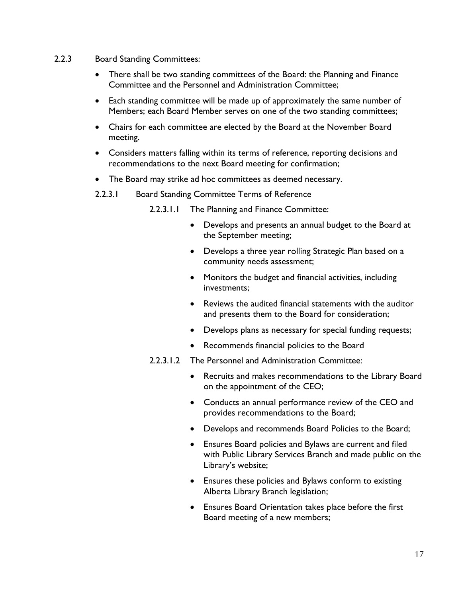- <span id="page-16-0"></span>2.2.3 Board Standing Committees:
	- There shall be two standing committees of the Board: the Planning and Finance Committee and the Personnel and Administration Committee;
	- Each standing committee will be made up of approximately the same number of Members; each Board Member serves on one of the two standing committees;
	- Chairs for each committee are elected by the Board at the November Board meeting.
	- Considers matters falling within its terms of reference, reporting decisions and recommendations to the next Board meeting for confirmation;
	- The Board may strike ad hoc committees as deemed necessary.
	- 2.2.3.1 Board Standing Committee Terms of Reference

2.2.3.1.1 The Planning and Finance Committee:

- Develops and presents an annual budget to the Board at the September meeting;
- Develops a three year rolling Strategic Plan based on a community needs assessment;
- Monitors the budget and financial activities, including investments;
- Reviews the audited financial statements with the auditor and presents them to the Board for consideration;
- Develops plans as necessary for special funding requests;
- Recommends financial policies to the Board
- 2.2.3.1.2 The Personnel and Administration Committee:
	- Recruits and makes recommendations to the Library Board on the appointment of the CEO;
	- Conducts an annual performance review of the CEO and provides recommendations to the Board;
	- Develops and recommends Board Policies to the Board;
	- Ensures Board policies and Bylaws are current and filed with Public Library Services Branch and made public on the Library's website;
	- Ensures these policies and Bylaws conform to existing Alberta Library Branch legislation;
	- Ensures Board Orientation takes place before the first Board meeting of a new members;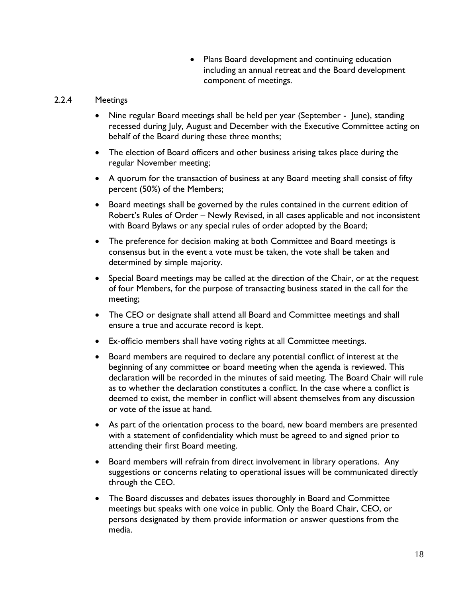• Plans Board development and continuing education including an annual retreat and the Board development component of meetings.

### <span id="page-17-0"></span>2.2.4 Meetings

- Nine regular Board meetings shall be held per year (September June), standing recessed during July, August and December with the Executive Committee acting on behalf of the Board during these three months;
- The election of Board officers and other business arising takes place during the regular November meeting;
- A quorum for the transaction of business at any Board meeting shall consist of fifty percent (50%) of the Members;
- Board meetings shall be governed by the rules contained in the current edition of Robert's Rules of Order – Newly Revised, in all cases applicable and not inconsistent with Board Bylaws or any special rules of order adopted by the Board;
- The preference for decision making at both Committee and Board meetings is consensus but in the event a vote must be taken, the vote shall be taken and determined by simple majority.
- Special Board meetings may be called at the direction of the Chair, or at the request of four Members, for the purpose of transacting business stated in the call for the meeting;
- The CEO or designate shall attend all Board and Committee meetings and shall ensure a true and accurate record is kept.
- Ex-officio members shall have voting rights at all Committee meetings.
- Board members are required to declare any potential conflict of interest at the beginning of any committee or board meeting when the agenda is reviewed. This declaration will be recorded in the minutes of said meeting. The Board Chair will rule as to whether the declaration constitutes a conflict. In the case where a conflict is deemed to exist, the member in conflict will absent themselves from any discussion or vote of the issue at hand.
- As part of the orientation process to the board, new board members are presented with a statement of confidentiality which must be agreed to and signed prior to attending their first Board meeting.
- Board members will refrain from direct involvement in library operations. Any suggestions or concerns relating to operational issues will be communicated directly through the CEO.
- The Board discusses and debates issues thoroughly in Board and Committee meetings but speaks with one voice in public. Only the Board Chair, CEO, or persons designated by them provide information or answer questions from the media.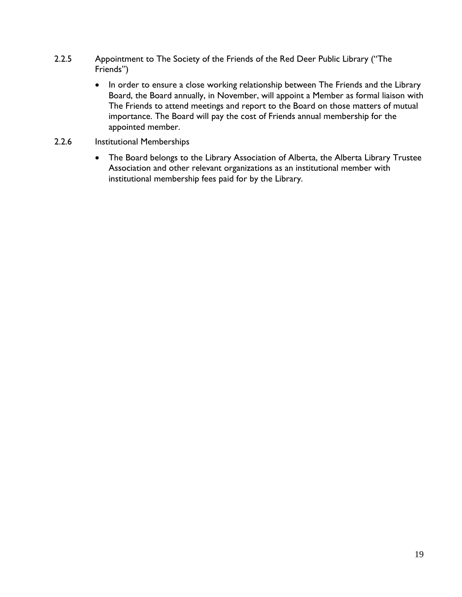- <span id="page-18-0"></span>2.2.5 Appointment to The Society of the Friends of the Red Deer Public Library ("The Friends")
	- In order to ensure a close working relationship between The Friends and the Library Board, the Board annually, in November, will appoint a Member as formal liaison with The Friends to attend meetings and report to the Board on those matters of mutual importance. The Board will pay the cost of Friends annual membership for the appointed member.
- <span id="page-18-1"></span>2.2.6 Institutional Memberships
	- The Board belongs to the Library Association of Alberta, the Alberta Library Trustee Association and other relevant organizations as an institutional member with institutional membership fees paid for by the Library.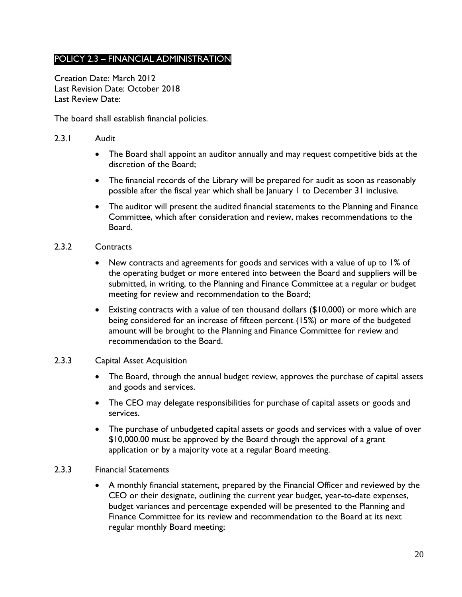# <span id="page-19-0"></span>POLICY 2.3 – FINANCIAL ADMINISTRATION

Creation Date: March 2012 Last Revision Date: October 2018 Last Review Date:

The board shall establish financial policies.

- <span id="page-19-1"></span>2.3.1 Audit
	- The Board shall appoint an auditor annually and may request competitive bids at the discretion of the Board;
	- The financial records of the Library will be prepared for audit as soon as reasonably possible after the fiscal year which shall be January 1 to December 31 inclusive.
	- The auditor will present the audited financial statements to the Planning and Finance Committee, which after consideration and review, makes recommendations to the Board.
- <span id="page-19-2"></span>2.3.2 Contracts
	- New contracts and agreements for goods and services with a value of up to 1% of the operating budget or more entered into between the Board and suppliers will be submitted, in writing, to the Planning and Finance Committee at a regular or budget meeting for review and recommendation to the Board;
	- Existing contracts with a value of ten thousand dollars (\$10,000) or more which are being considered for an increase of fifteen percent (15%) or more of the budgeted amount will be brought to the Planning and Finance Committee for review and recommendation to the Board.

### <span id="page-19-3"></span>2.3.3 Capital Asset Acquisition

- The Board, through the annual budget review, approves the purchase of capital assets and goods and services.
- The CEO may delegate responsibilities for purchase of capital assets or goods and services.
- The purchase of unbudgeted capital assets or goods and services with a value of over \$10,000.00 must be approved by the Board through the approval of a grant application or by a majority vote at a regular Board meeting.

#### 2.3.3 Financial Statements

 A monthly financial statement, prepared by the Financial Officer and reviewed by the CEO or their designate, outlining the current year budget, year-to-date expenses, budget variances and percentage expended will be presented to the Planning and Finance Committee for its review and recommendation to the Board at its next regular monthly Board meeting;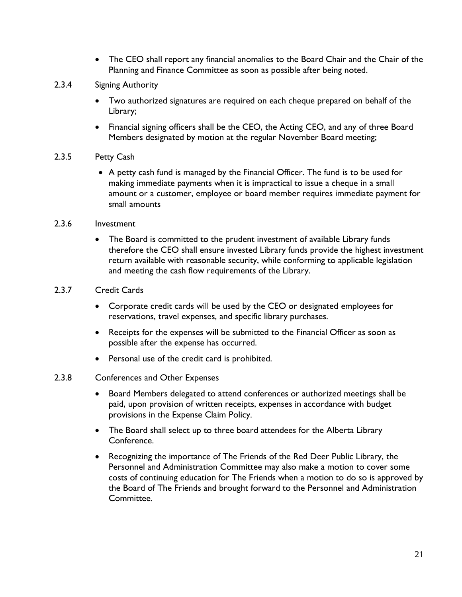- The CEO shall report any financial anomalies to the Board Chair and the Chair of the Planning and Finance Committee as soon as possible after being noted.
- <span id="page-20-0"></span>2.3.4 Signing Authority
	- Two authorized signatures are required on each cheque prepared on behalf of the Library;
	- Financial signing officers shall be the CEO, the Acting CEO, and any of three Board Members designated by motion at the regular November Board meeting;
- <span id="page-20-1"></span>2.3.5 Petty Cash
	- A petty cash fund is managed by the Financial Officer. The fund is to be used for making immediate payments when it is impractical to issue a cheque in a small amount or a customer, employee or board member requires immediate payment for small amounts
- <span id="page-20-2"></span>2.3.6 Investment
	- The Board is committed to the prudent investment of available Library funds therefore the CEO shall ensure invested Library funds provide the highest investment return available with reasonable security, while conforming to applicable legislation and meeting the cash flow requirements of the Library.
- <span id="page-20-3"></span>2.3.7 Credit Cards
	- Corporate credit cards will be used by the CEO or designated employees for reservations, travel expenses, and specific library purchases.
	- Receipts for the expenses will be submitted to the Financial Officer as soon as possible after the expense has occurred.
	- Personal use of the credit card is prohibited.
- <span id="page-20-4"></span>2.3.8 Conferences and Other Expenses
	- Board Members delegated to attend conferences or authorized meetings shall be paid, upon provision of written receipts, expenses in accordance with budget provisions in the Expense Claim Policy.
	- The Board shall select up to three board attendees for the Alberta Library Conference.
	- Recognizing the importance of The Friends of the Red Deer Public Library, the Personnel and Administration Committee may also make a motion to cover some costs of continuing education for The Friends when a motion to do so is approved by the Board of The Friends and brought forward to the Personnel and Administration Committee.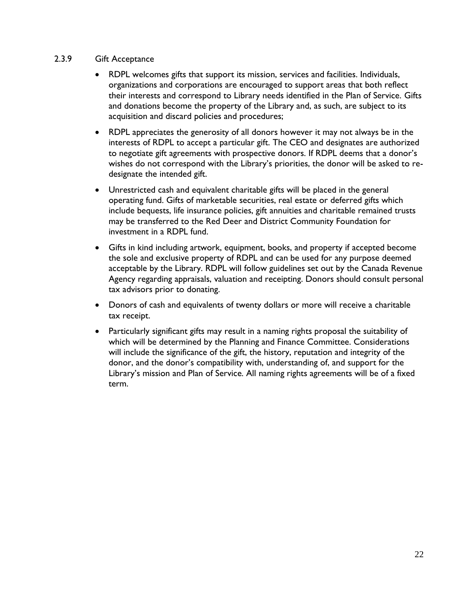### <span id="page-21-0"></span>2.3.9 Gift Acceptance

- RDPL welcomes gifts that support its mission, services and facilities. Individuals, organizations and corporations are encouraged to support areas that both reflect their interests and correspond to Library needs identified in the Plan of Service. Gifts and donations become the property of the Library and, as such, are subject to its acquisition and discard policies and procedures;
- RDPL appreciates the generosity of all donors however it may not always be in the interests of RDPL to accept a particular gift. The CEO and designates are authorized to negotiate gift agreements with prospective donors. If RDPL deems that a donor's wishes do not correspond with the Library's priorities, the donor will be asked to redesignate the intended gift.
- Unrestricted cash and equivalent charitable gifts will be placed in the general operating fund. Gifts of marketable securities, real estate or deferred gifts which include bequests, life insurance policies, gift annuities and charitable remained trusts may be transferred to the Red Deer and District Community Foundation for investment in a RDPL fund.
- Gifts in kind including artwork, equipment, books, and property if accepted become the sole and exclusive property of RDPL and can be used for any purpose deemed acceptable by the Library. RDPL will follow guidelines set out by the Canada Revenue Agency regarding appraisals, valuation and receipting. Donors should consult personal tax advisors prior to donating.
- Donors of cash and equivalents of twenty dollars or more will receive a charitable tax receipt.
- Particularly significant gifts may result in a naming rights proposal the suitability of which will be determined by the Planning and Finance Committee. Considerations will include the significance of the gift, the history, reputation and integrity of the donor, and the donor's compatibility with, understanding of, and support for the Library's mission and Plan of Service. All naming rights agreements will be of a fixed term.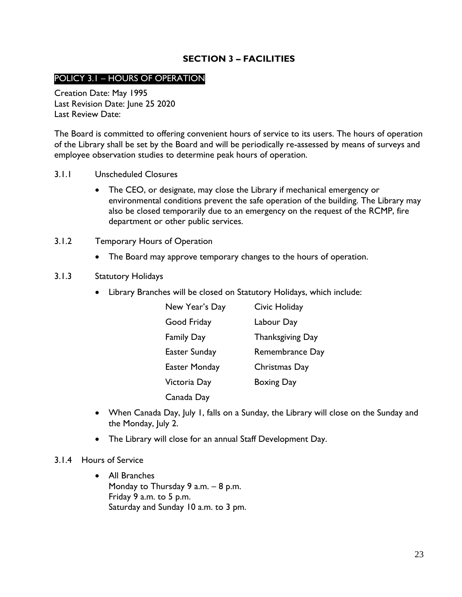### **SECTION 3 – FACILITIES**

### <span id="page-22-1"></span><span id="page-22-0"></span>POLICY 3.1 – HOURS OF OPERATION

Creation Date: May 1995 Last Revision Date: June 25 2020 Last Review Date:

The Board is committed to offering convenient hours of service to its users. The hours of operation of the Library shall be set by the Board and will be periodically re-assessed by means of surveys and employee observation studies to determine peak hours of operation.

- <span id="page-22-2"></span>3.1.1 Unscheduled Closures
	- The CEO, or designate, may close the Library if mechanical emergency or environmental conditions prevent the safe operation of the building. The Library may also be closed temporarily due to an emergency on the request of the RCMP, fire department or other public services.
- <span id="page-22-3"></span>3.1.2 Temporary Hours of Operation
	- The Board may approve temporary changes to the hours of operation.

#### <span id="page-22-4"></span>3.1.3 Statutory Holidays

Library Branches will be closed on Statutory Holidays, which include:

| New Year's Day       | Civic Holiday     |
|----------------------|-------------------|
| Good Friday          | Labour Day        |
| <b>Family Day</b>    | Thanksgiving Day  |
| Easter Sunday        | Remembrance Day   |
| <b>Easter Monday</b> | Christmas Day     |
| Victoria Day         | <b>Boxing Day</b> |
| Canada Day           |                   |

- When Canada Day, July 1, falls on a Sunday, the Library will close on the Sunday and the Monday, July 2.
- The Library will close for an annual Staff Development Day.
- <span id="page-22-5"></span>3.1.4 Hours of Service
	- All Branches Monday to Thursday 9 a.m. – 8 p.m. Friday 9 a.m. to 5 p.m. Saturday and Sunday 10 a.m. to 3 pm.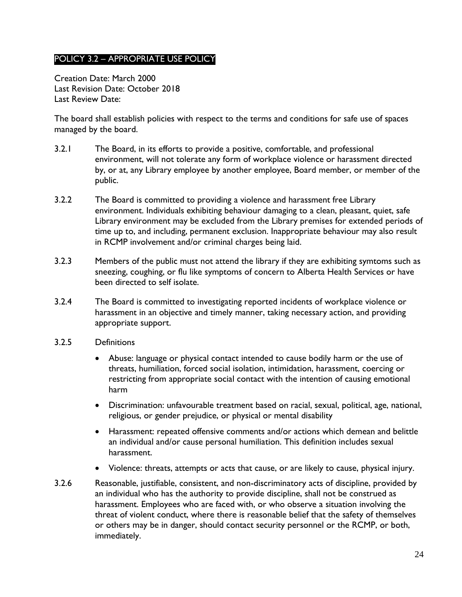# <span id="page-23-0"></span>POLICY 3.2 – APPROPRIATE USE POLICY

Creation Date: March 2000 Last Revision Date: October 2018 Last Review Date:

The board shall establish policies with respect to the terms and conditions for safe use of spaces managed by the board.

- 3.2.1 The Board, in its efforts to provide a positive, comfortable, and professional environment, will not tolerate any form of workplace violence or harassment directed by, or at, any Library employee by another employee, Board member, or member of the public.
- 3.2.2 The Board is committed to providing a violence and harassment free Library environment. Individuals exhibiting behaviour damaging to a clean, pleasant, quiet, safe Library environment may be excluded from the Library premises for extended periods of time up to, and including, permanent exclusion. Inappropriate behaviour may also result in RCMP involvement and/or criminal charges being laid.
- 3.2.3 Members of the public must not attend the library if they are exhibiting symtoms such as sneezing, coughing, or flu like symptoms of concern to Alberta Health Services or have been directed to self isolate.
- 3.2.4 The Board is committed to investigating reported incidents of workplace violence or harassment in an objective and timely manner, taking necessary action, and providing appropriate support.
- 3.2.5 Definitions
	- Abuse: language or physical contact intended to cause bodily harm or the use of threats, humiliation, forced social isolation, intimidation, harassment, coercing or restricting from appropriate social contact with the intention of causing emotional harm
	- Discrimination: unfavourable treatment based on racial, sexual, political, age, national, religious, or gender prejudice, or physical or mental disability
	- Harassment: repeated offensive comments and/or actions which demean and belittle an individual and/or cause personal humiliation. This definition includes sexual harassment.
	- Violence: threats, attempts or acts that cause, or are likely to cause, physical injury.
- 3.2.6 Reasonable, justifiable, consistent, and non-discriminatory acts of discipline, provided by an individual who has the authority to provide discipline, shall not be construed as harassment. Employees who are faced with, or who observe a situation involving the threat of violent conduct, where there is reasonable belief that the safety of themselves or others may be in danger, should contact security personnel or the RCMP, or both, immediately.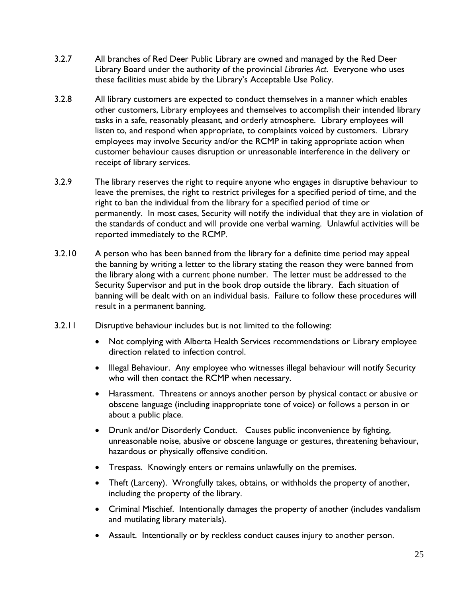- 3.2.7 All branches of Red Deer Public Library are owned and managed by the Red Deer Library Board under the authority of the provincial *Libraries Act*. Everyone who uses these facilities must abide by the Library's Acceptable Use Policy.
- 3.2.8 All library customers are expected to conduct themselves in a manner which enables other customers, Library employees and themselves to accomplish their intended library tasks in a safe, reasonably pleasant, and orderly atmosphere. Library employees will listen to, and respond when appropriate, to complaints voiced by customers. Library employees may involve Security and/or the RCMP in taking appropriate action when customer behaviour causes disruption or unreasonable interference in the delivery or receipt of library services.
- 3.2.9 The library reserves the right to require anyone who engages in disruptive behaviour to leave the premises, the right to restrict privileges for a specified period of time, and the right to ban the individual from the library for a specified period of time or permanently. In most cases, Security will notify the individual that they are in violation of the standards of conduct and will provide one verbal warning. Unlawful activities will be reported immediately to the RCMP.
- 3.2.10 A person who has been banned from the library for a definite time period may appeal the banning by writing a letter to the library stating the reason they were banned from the library along with a current phone number. The letter must be addressed to the Security Supervisor and put in the book drop outside the library. Each situation of banning will be dealt with on an individual basis. Failure to follow these procedures will result in a permanent banning.
- 3.2.11 Disruptive behaviour includes but is not limited to the following:
	- Not complying with Alberta Health Services recommendations or Library employee direction related to infection control.
	- Illegal Behaviour. Any employee who witnesses illegal behaviour will notify Security who will then contact the RCMP when necessary.
	- Harassment. Threatens or annoys another person by physical contact or abusive or obscene language (including inappropriate tone of voice) or follows a person in or about a public place.
	- Drunk and/or Disorderly Conduct. Causes public inconvenience by fighting, unreasonable noise, abusive or obscene language or gestures, threatening behaviour, hazardous or physically offensive condition.
	- Trespass. Knowingly enters or remains unlawfully on the premises.
	- Theft (Larceny). Wrongfully takes, obtains, or withholds the property of another, including the property of the library.
	- Criminal Mischief. Intentionally damages the property of another (includes vandalism and mutilating library materials).
	- Assault. Intentionally or by reckless conduct causes injury to another person.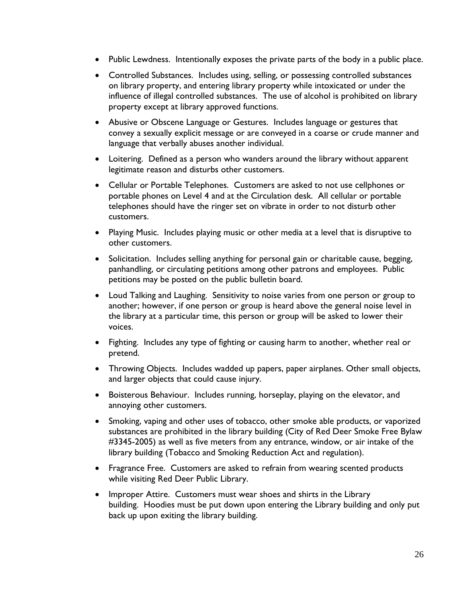- Public Lewdness. Intentionally exposes the private parts of the body in a public place.
- Controlled Substances. Includes using, selling, or possessing controlled substances on library property, and entering library property while intoxicated or under the influence of illegal controlled substances. The use of alcohol is prohibited on library property except at library approved functions.
- Abusive or Obscene Language or Gestures. Includes language or gestures that convey a sexually explicit message or are conveyed in a coarse or crude manner and language that verbally abuses another individual.
- Loitering. Defined as a person who wanders around the library without apparent legitimate reason and disturbs other customers.
- Cellular or Portable Telephones. Customers are asked to not use cellphones or portable phones on Level 4 and at the Circulation desk. All cellular or portable telephones should have the ringer set on vibrate in order to not disturb other customers.
- Playing Music. Includes playing music or other media at a level that is disruptive to other customers.
- Solicitation. Includes selling anything for personal gain or charitable cause, begging, panhandling, or circulating petitions among other patrons and employees. Public petitions may be posted on the public bulletin board.
- Loud Talking and Laughing. Sensitivity to noise varies from one person or group to another; however, if one person or group is heard above the general noise level in the library at a particular time, this person or group will be asked to lower their voices.
- Fighting. Includes any type of fighting or causing harm to another, whether real or pretend.
- Throwing Objects. Includes wadded up papers, paper airplanes. Other small objects, and larger objects that could cause injury.
- Boisterous Behaviour. Includes running, horseplay, playing on the elevator, and annoying other customers.
- Smoking, vaping and other uses of tobacco, other smoke able products, or vaporized substances are prohibited in the library building (City of Red Deer Smoke Free Bylaw #3345-2005) as well as five meters from any entrance, window, or air intake of the library building (Tobacco and Smoking Reduction Act and regulation).
- Fragrance Free. Customers are asked to refrain from wearing scented products while visiting Red Deer Public Library.
- Improper Attire. Customers must wear shoes and shirts in the Library building. Hoodies must be put down upon entering the Library building and only put back up upon exiting the library building.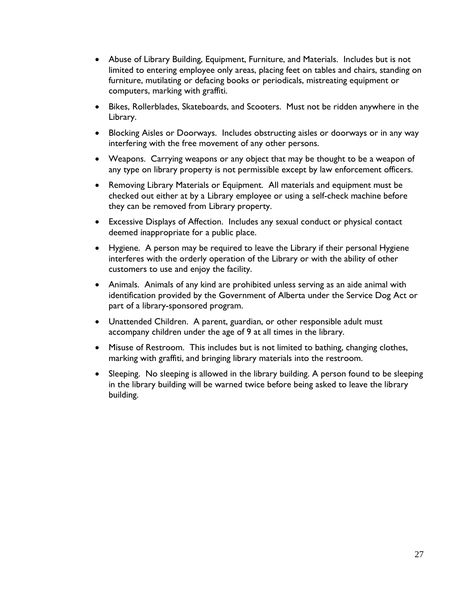- Abuse of Library Building, Equipment, Furniture, and Materials. Includes but is not limited to entering employee only areas, placing feet on tables and chairs, standing on furniture, mutilating or defacing books or periodicals, mistreating equipment or computers, marking with graffiti.
- Bikes, Rollerblades, Skateboards, and Scooters. Must not be ridden anywhere in the Library.
- Blocking Aisles or Doorways. Includes obstructing aisles or doorways or in any way interfering with the free movement of any other persons.
- Weapons. Carrying weapons or any object that may be thought to be a weapon of any type on library property is not permissible except by law enforcement officers.
- Removing Library Materials or Equipment. All materials and equipment must be checked out either at by a Library employee or using a self-check machine before they can be removed from Library property.
- Excessive Displays of Affection. Includes any sexual conduct or physical contact deemed inappropriate for a public place.
- Hygiene. A person may be required to leave the Library if their personal Hygiene interferes with the orderly operation of the Library or with the ability of other customers to use and enjoy the facility.
- Animals. Animals of any kind are prohibited unless serving as an aide animal with identification provided by the Government of Alberta under the Service Dog Act or part of a library-sponsored program.
- Unattended Children. A parent, guardian, or other responsible adult must accompany children under the age of 9 at all times in the library.
- Misuse of Restroom. This includes but is not limited to bathing, changing clothes, marking with graffiti, and bringing library materials into the restroom.
- Sleeping. No sleeping is allowed in the library building. A person found to be sleeping in the library building will be warned twice before being asked to leave the library building.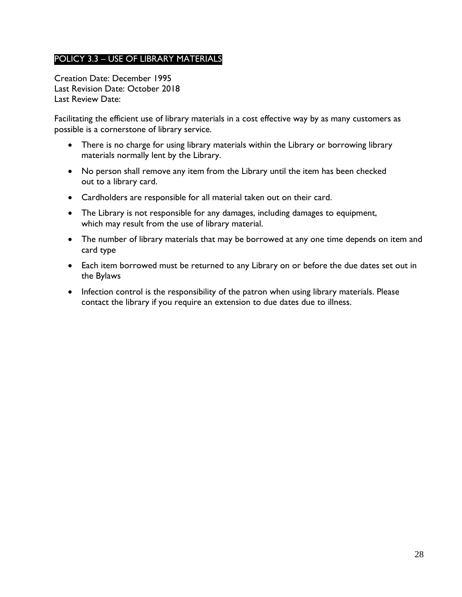# <span id="page-27-0"></span>POLICY 3.3 – USE OF LIBRARY MATERIALS

Creation Date: December 1995 Last Revision Date: October 2018 Last Review Date:

Facilitating the efficient use of library materials in a cost effective way by as many customers as possible is a cornerstone of library service.

- There is no charge for using library materials within the Library or borrowing library materials normally lent by the Library.
- No person shall remove any item from the Library until the item has been checked out to a library card.
- Cardholders are responsible for all material taken out on their card.
- The Library is not responsible for any damages, including damages to equipment, which may result from the use of library material.
- The number of library materials that may be borrowed at any one time depends on item and card type
- Each item borrowed must be returned to any Library on or before the due dates set out in the Bylaws
- Infection control is the responsibility of the patron when using library materials. Please contact the library if you require an extension to due dates due to illness.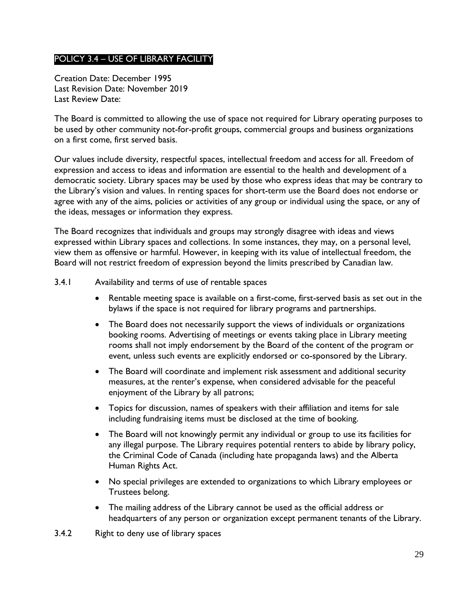# <span id="page-28-0"></span>POLICY 3.4 – USE OF LIBRARY FACILITY

Creation Date: December 1995 Last Revision Date: November 2019 Last Review Date:

The Board is committed to allowing the use of space not required for Library operating purposes to be used by other community not-for-profit groups, commercial groups and business organizations on a first come, first served basis.

Our values include diversity, respectful spaces, intellectual freedom and access for all. Freedom of expression and access to ideas and information are essential to the health and development of a democratic society. Library spaces may be used by those who express ideas that may be contrary to the Library's vision and values. In renting spaces for short-term use the Board does not endorse or agree with any of the aims, policies or activities of any group or individual using the space, or any of the ideas, messages or information they express.

The Board recognizes that individuals and groups may strongly disagree with ideas and views expressed within Library spaces and collections. In some instances, they may, on a personal level, view them as offensive or harmful. However, in keeping with its value of intellectual freedom, the Board will not restrict freedom of expression beyond the limits prescribed by Canadian law.

#### <span id="page-28-1"></span>3.4.1 Availability and terms of use of rentable spaces

- Rentable meeting space is available on a first-come, first-served basis as set out in the bylaws if the space is not required for library programs and partnerships.
- The Board does not necessarily support the views of individuals or organizations booking rooms. Advertising of meetings or events taking place in Library meeting rooms shall not imply endorsement by the Board of the content of the program or event, unless such events are explicitly endorsed or co-sponsored by the Library.
- The Board will coordinate and implement risk assessment and additional security measures, at the renter's expense, when considered advisable for the peaceful enjoyment of the Library by all patrons;
- Topics for discussion, names of speakers with their affiliation and items for sale including fundraising items must be disclosed at the time of booking.
- The Board will not knowingly permit any individual or group to use its facilities for any illegal purpose. The Library requires potential renters to abide by library policy, the Criminal Code of Canada (including hate propaganda laws) and the Alberta Human Rights Act.
- No special privileges are extended to organizations to which Library employees or Trustees belong.
- The mailing address of the Library cannot be used as the official address or headquarters of any person or organization except permanent tenants of the Library.
- <span id="page-28-2"></span>3.4.2 Right to deny use of library spaces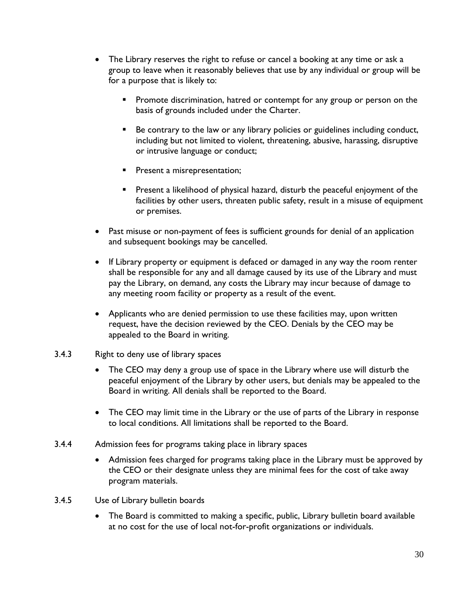- The Library reserves the right to refuse or cancel a booking at any time or ask a group to leave when it reasonably believes that use by any individual or group will be for a purpose that is likely to:
	- **Promote discrimination, hatred or contempt for any group or person on the** basis of grounds included under the Charter.
	- Be contrary to the law or any library policies or guidelines including conduct, including but not limited to violent, threatening, abusive, harassing, disruptive or intrusive language or conduct;
	- **Present a misrepresentation;**
	- **Present a likelihood of physical hazard, disturb the peaceful enjoyment of the** facilities by other users, threaten public safety, result in a misuse of equipment or premises.
- Past misuse or non-payment of fees is sufficient grounds for denial of an application and subsequent bookings may be cancelled.
- If Library property or equipment is defaced or damaged in any way the room renter shall be responsible for any and all damage caused by its use of the Library and must pay the Library, on demand, any costs the Library may incur because of damage to any meeting room facility or property as a result of the event.
- Applicants who are denied permission to use these facilities may, upon written request, have the decision reviewed by the CEO. Denials by the CEO may be appealed to the Board in writing.
- <span id="page-29-0"></span>3.4.3 Right to deny use of library spaces
	- The CEO may deny a group use of space in the Library where use will disturb the peaceful enjoyment of the Library by other users, but denials may be appealed to the Board in writing. All denials shall be reported to the Board.
	- The CEO may limit time in the Library or the use of parts of the Library in response to local conditions. All limitations shall be reported to the Board.
- <span id="page-29-1"></span>3.4.4 Admission fees for programs taking place in library spaces
	- Admission fees charged for programs taking place in the Library must be approved by the CEO or their designate unless they are minimal fees for the cost of take away program materials.
- <span id="page-29-2"></span>3.4.5 Use of Library bulletin boards
	- The Board is committed to making a specific, public, Library bulletin board available at no cost for the use of local not-for-profit organizations or individuals.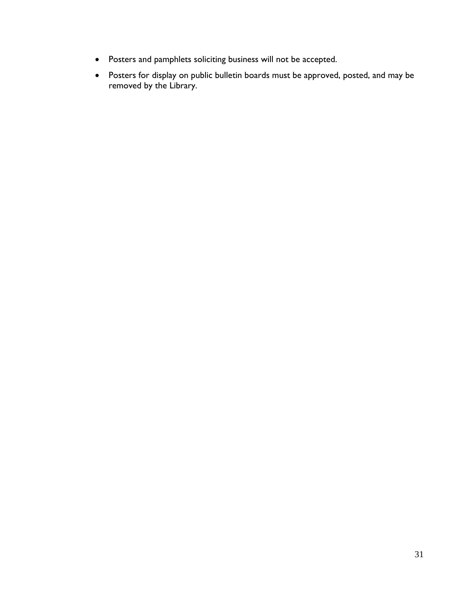- Posters and pamphlets soliciting business will not be accepted.
- Posters for display on public bulletin boards must be approved, posted, and may be removed by the Library.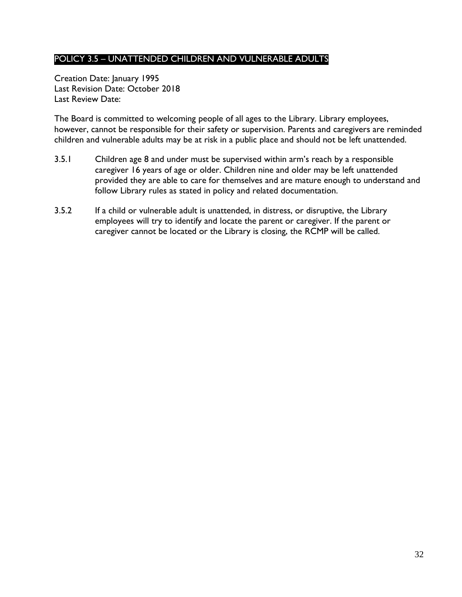# <span id="page-31-0"></span>POLICY 3.5 – UNATTENDED CHILDREN AND VULNERABLE ADULTS

Creation Date: January 1995 Last Revision Date: October 2018 Last Review Date:

The Board is committed to welcoming people of all ages to the Library. Library employees, however, cannot be responsible for their safety or supervision. Parents and caregivers are reminded children and vulnerable adults may be at risk in a public place and should not be left unattended.

- 3.5.1 Children age 8 and under must be supervised within arm's reach by a responsible caregiver 16 years of age or older. Children nine and older may be left unattended provided they are able to care for themselves and are mature enough to understand and follow Library rules as stated in policy and related documentation.
- 3.5.2 If a child or vulnerable adult is unattended, in distress, or disruptive, the Library employees will try to identify and locate the parent or caregiver. If the parent or caregiver cannot be located or the Library is closing, the RCMP will be called.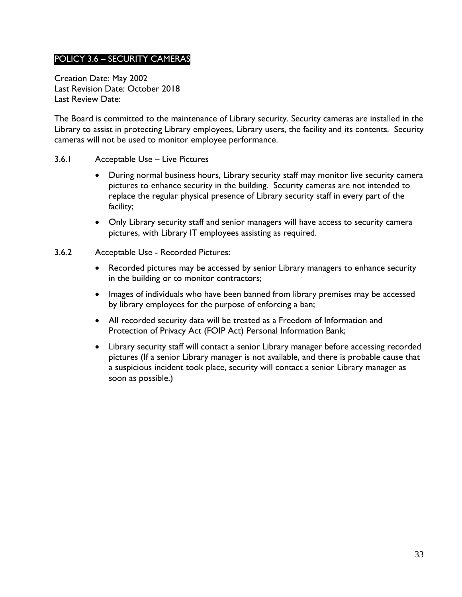# <span id="page-32-0"></span>POLICY 3.6 – SECURITY CAMERAS

Creation Date: May 2002 Last Revision Date: October 2018 Last Review Date:

The Board is committed to the maintenance of Library security. Security cameras are installed in the Library to assist in protecting Library employees, Library users, the facility and its contents. Security cameras will not be used to monitor employee performance.

#### <span id="page-32-1"></span>3.6.1 Acceptable Use – Live Pictures

- During normal business hours, Library security staff may monitor live security camera pictures to enhance security in the building. Security cameras are not intended to replace the regular physical presence of Library security staff in every part of the facility;
- Only Library security staff and senior managers will have access to security camera pictures, with Library IT employees assisting as required.
- <span id="page-32-2"></span>3.6.2 Acceptable Use - Recorded Pictures:
	- Recorded pictures may be accessed by senior Library managers to enhance security in the building or to monitor contractors;
	- Images of individuals who have been banned from library premises may be accessed by library employees for the purpose of enforcing a ban;
	- All recorded security data will be treated as a Freedom of Information and Protection of Privacy Act (FOIP Act) Personal Information Bank;
	- Library security staff will contact a senior Library manager before accessing recorded pictures (If a senior Library manager is not available, and there is probable cause that a suspicious incident took place, security will contact a senior Library manager as soon as possible.)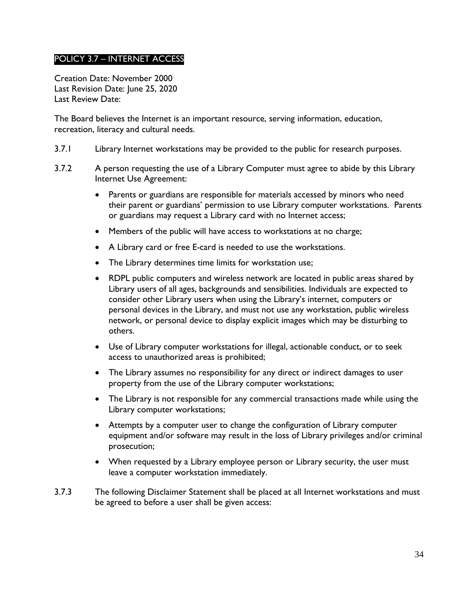# <span id="page-33-0"></span>POLICY 3.7 – INTERNET ACCESS

Creation Date: November 2000 Last Revision Date: June 25, 2020 Last Review Date:

The Board believes the Internet is an important resource, serving information, education, recreation, literacy and cultural needs.

- 3.7.1 Library Internet workstations may be provided to the public for research purposes.
- 3.7.2 A person requesting the use of a Library Computer must agree to abide by this Library Internet Use Agreement:
	- Parents or guardians are responsible for materials accessed by minors who need their parent or guardians' permission to use Library computer workstations. Parents or guardians may request a Library card with no Internet access;
	- Members of the public will have access to workstations at no charge;
	- A Library card or free E-card is needed to use the workstations.
	- The Library determines time limits for workstation use;
	- RDPL public computers and wireless network are located in public areas shared by Library users of all ages, backgrounds and sensibilities. Individuals are expected to consider other Library users when using the Library's internet, computers or personal devices in the Library, and must not use any workstation, public wireless network, or personal device to display explicit images which may be disturbing to others.
	- Use of Library computer workstations for illegal, actionable conduct, or to seek access to unauthorized areas is prohibited;
	- The Library assumes no responsibility for any direct or indirect damages to user property from the use of the Library computer workstations;
	- The Library is not responsible for any commercial transactions made while using the Library computer workstations;
	- Attempts by a computer user to change the configuration of Library computer equipment and/or software may result in the loss of Library privileges and/or criminal prosecution;
	- When requested by a Library employee person or Library security, the user must leave a computer workstation immediately.
- 3.7.3 The following Disclaimer Statement shall be placed at all Internet workstations and must be agreed to before a user shall be given access: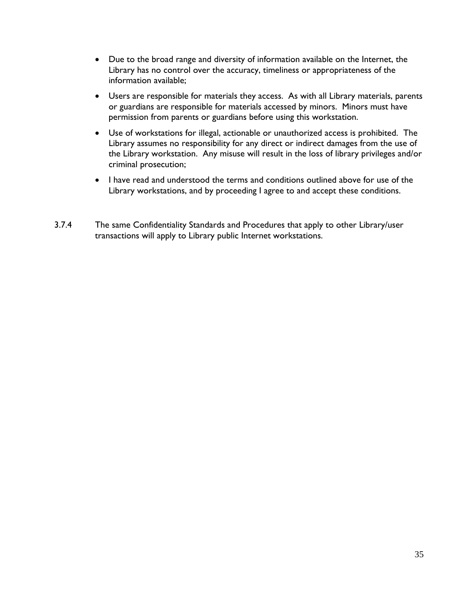- Due to the broad range and diversity of information available on the Internet, the Library has no control over the accuracy, timeliness or appropriateness of the information available;
- Users are responsible for materials they access. As with all Library materials, parents or guardians are responsible for materials accessed by minors. Minors must have permission from parents or guardians before using this workstation.
- Use of workstations for illegal, actionable or unauthorized access is prohibited. The Library assumes no responsibility for any direct or indirect damages from the use of the Library workstation. Any misuse will result in the loss of library privileges and/or criminal prosecution;
- I have read and understood the terms and conditions outlined above for use of the Library workstations, and by proceeding I agree to and accept these conditions.
- 3.7.4 The same Confidentiality Standards and Procedures that apply to other Library/user transactions will apply to Library public Internet workstations.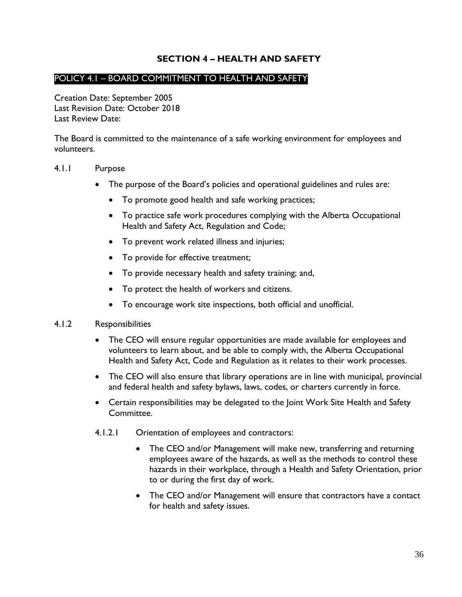### **SECTION 4 – HEALTH AND SAFETY**

### <span id="page-35-1"></span><span id="page-35-0"></span>POLICY 4.1 – BOARD COMMITMENT TO HEALTH AND SAFETY

Creation Date: September 2005 Last Revision Date: October 2018 Last Review Date:

The Board is committed to the maintenance of a safe working environment for employees and volunteers.

#### <span id="page-35-2"></span>4.1.1 Purpose

- The purpose of the Board's policies and operational guidelines and rules are:
	- To promote good health and safe working practices;
	- To practice safe work procedures complying with the Alberta Occupational Health and Safety Act, Regulation and Code;
	- To prevent work related illness and injuries;
	- To provide for effective treatment;
	- To provide necessary health and safety training; and,
	- To protect the health of workers and citizens.
	- To encourage work site inspections, both official and unofficial.

#### <span id="page-35-3"></span>4.1.2 Responsibilities

- The CEO will ensure regular opportunities are made available for employees and volunteers to learn about, and be able to comply with, the Alberta Occupational Health and Safety Act, Code and Regulation as it relates to their work processes.
- The CEO will also ensure that library operations are in line with municipal, provincial and federal health and safety bylaws, laws, codes, or charters currently in force.
- Certain responsibilities may be delegated to the Joint Work Site Health and Safety Committee.
- 4.1.2.1 Orientation of employees and contractors:
	- The CEO and/or Management will make new, transferring and returning employees aware of the hazards, as well as the methods to control these hazards in their workplace, through a Health and Safety Orientation, prior to or during the first day of work.
	- The CEO and/or Management will ensure that contractors have a contact for health and safety issues.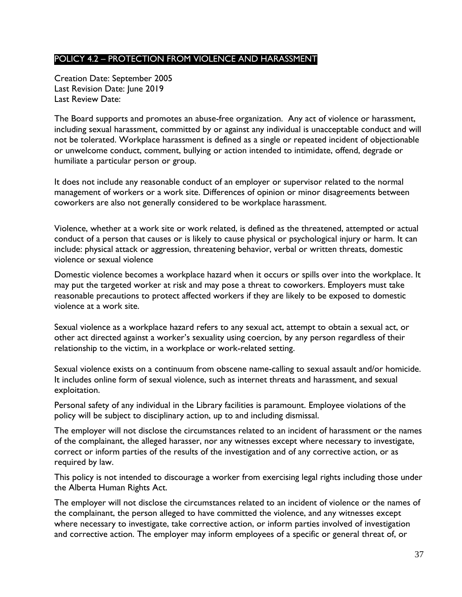## <span id="page-36-0"></span>POLICY 4.2 – PROTECTION FROM VIOLENCE AND HARASSMENT

Creation Date: September 2005 Last Revision Date: June 2019 Last Review Date:

The Board supports and promotes an abuse-free organization. Any act of violence or harassment, including sexual harassment, committed by or against any individual is unacceptable conduct and will not be tolerated. Workplace harassment is defined as a single or repeated incident of objectionable or unwelcome conduct, comment, bullying or action intended to intimidate, offend, degrade or humiliate a particular person or group.

It does not include any reasonable conduct of an employer or supervisor related to the normal management of workers or a work site. Differences of opinion or minor disagreements between coworkers are also not generally considered to be workplace harassment.

Violence, whether at a work site or work related, is defined as the threatened, attempted or actual conduct of a person that causes or is likely to cause physical or psychological injury or harm. It can include: physical attack or aggression, threatening behavior, verbal or written threats, domestic violence or sexual violence

Domestic violence becomes a workplace hazard when it occurs or spills over into the workplace. It may put the targeted worker at risk and may pose a threat to coworkers. Employers must take reasonable precautions to protect affected workers if they are likely to be exposed to domestic violence at a work site.

Sexual violence as a workplace hazard refers to any sexual act, attempt to obtain a sexual act, or other act directed against a worker's sexuality using coercion, by any person regardless of their relationship to the victim, in a workplace or work-related setting.

Sexual violence exists on a continuum from obscene name-calling to sexual assault and/or homicide. It includes online form of sexual violence, such as internet threats and harassment, and sexual exploitation.

Personal safety of any individual in the Library facilities is paramount. Employee violations of the policy will be subject to disciplinary action, up to and including dismissal.

The employer will not disclose the circumstances related to an incident of harassment or the names of the complainant, the alleged harasser, nor any witnesses except where necessary to investigate, correct or inform parties of the results of the investigation and of any corrective action, or as required by law.

This policy is not intended to discourage a worker from exercising legal rights including those under the Alberta Human Rights Act.

The employer will not disclose the circumstances related to an incident of violence or the names of the complainant, the person alleged to have committed the violence, and any witnesses except where necessary to investigate, take corrective action, or inform parties involved of investigation and corrective action. The employer may inform employees of a specific or general threat of, or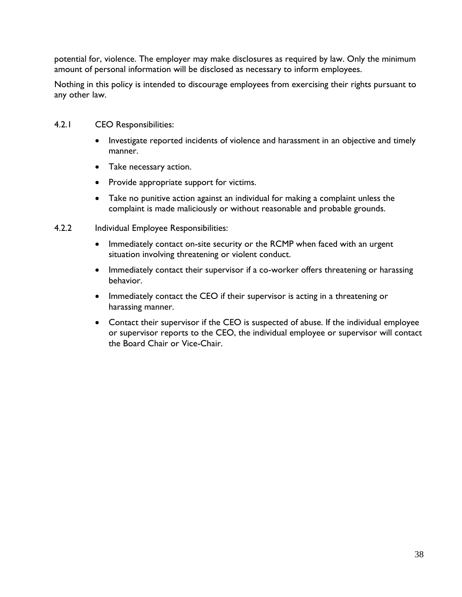potential for, violence. The employer may make disclosures as required by law. Only the minimum amount of personal information will be disclosed as necessary to inform employees.

Nothing in this policy is intended to discourage employees from exercising their rights pursuant to any other law.

- <span id="page-37-0"></span>4.2.1 CEO Responsibilities:
	- Investigate reported incidents of violence and harassment in an objective and timely manner.
	- Take necessary action.
	- Provide appropriate support for victims.
	- Take no punitive action against an individual for making a complaint unless the complaint is made maliciously or without reasonable and probable grounds.
- <span id="page-37-1"></span>4.2.2 Individual Employee Responsibilities:
	- Immediately contact on-site security or the RCMP when faced with an urgent situation involving threatening or violent conduct.
	- Immediately contact their supervisor if a co-worker offers threatening or harassing behavior.
	- Immediately contact the CEO if their supervisor is acting in a threatening or harassing manner.
	- Contact their supervisor if the CEO is suspected of abuse. If the individual employee or supervisor reports to the CEO, the individual employee or supervisor will contact the Board Chair or Vice-Chair.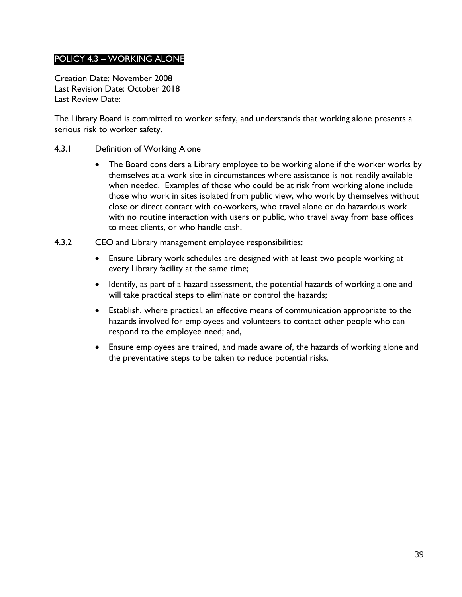# <span id="page-38-0"></span>POLICY 4.3 – WORKING ALONE

Creation Date: November 2008 Last Revision Date: October 2018 Last Review Date:

The Library Board is committed to worker safety, and understands that working alone presents a serious risk to worker safety.

- <span id="page-38-1"></span>4.3.1 Definition of Working Alone
	- The Board considers a Library employee to be working alone if the worker works by themselves at a work site in circumstances where assistance is not readily available when needed. Examples of those who could be at risk from working alone include those who work in sites isolated from public view, who work by themselves without close or direct contact with co-workers, who travel alone or do hazardous work with no routine interaction with users or public, who travel away from base offices to meet clients, or who handle cash.
- <span id="page-38-2"></span>4.3.2 CEO and Library management employee responsibilities:
	- Ensure Library work schedules are designed with at least two people working at every Library facility at the same time;
	- Identify, as part of a hazard assessment, the potential hazards of working alone and will take practical steps to eliminate or control the hazards;
	- Establish, where practical, an effective means of communication appropriate to the hazards involved for employees and volunteers to contact other people who can respond to the employee need; and,
	- Ensure employees are trained, and made aware of, the hazards of working alone and the preventative steps to be taken to reduce potential risks.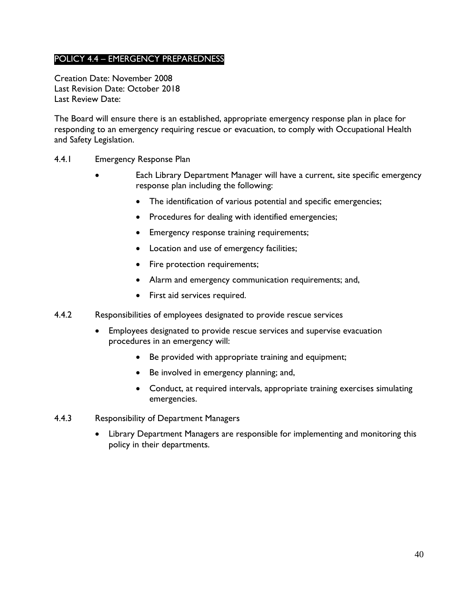# <span id="page-39-0"></span>POLICY 4.4 – EMERGENCY PREPAREDNESS

Creation Date: November 2008 Last Revision Date: October 2018 Last Review Date:

The Board will ensure there is an established, appropriate emergency response plan in place for responding to an emergency requiring rescue or evacuation, to comply with Occupational Health and Safety Legislation.

- <span id="page-39-1"></span>4.4.1 Emergency Response Plan
	- Each Library Department Manager will have a current, site specific emergency response plan including the following:
		- The identification of various potential and specific emergencies;
		- Procedures for dealing with identified emergencies;
		- **•** Emergency response training requirements;
		- Location and use of emergency facilities;
		- Fire protection requirements;
		- Alarm and emergency communication requirements; and,
		- First aid services required.
- <span id="page-39-2"></span>4.4.2 Responsibilities of employees designated to provide rescue services
	- Employees designated to provide rescue services and supervise evacuation procedures in an emergency will:
		- Be provided with appropriate training and equipment;
		- Be involved in emergency planning; and,
		- Conduct, at required intervals, appropriate training exercises simulating emergencies.
- <span id="page-39-3"></span>4.4.3 Responsibility of Department Managers
	- Library Department Managers are responsible for implementing and monitoring this policy in their departments.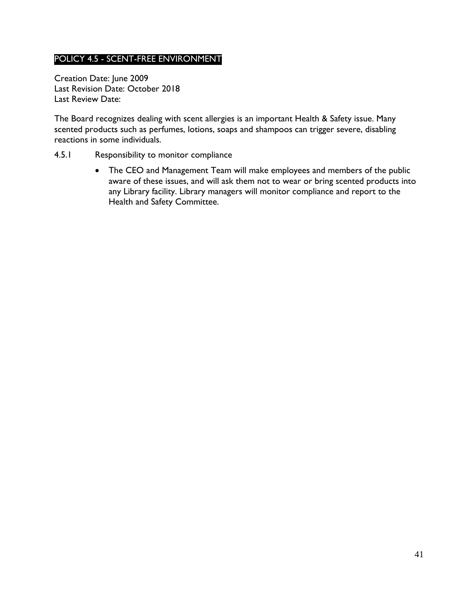# <span id="page-40-0"></span>POLICY 4.5 - SCENT-FREE ENVIRONMENT

Creation Date: June 2009 Last Revision Date: October 2018 Last Review Date:

The Board recognizes dealing with scent allergies is an important Health & Safety issue. Many scented products such as perfumes, lotions, soaps and shampoos can trigger severe, disabling reactions in some individuals.

#### <span id="page-40-1"></span>4.5.1 Responsibility to monitor compliance

 The CEO and Management Team will make employees and members of the public aware of these issues, and will ask them not to wear or bring scented products into any Library facility. Library managers will monitor compliance and report to the Health and Safety Committee.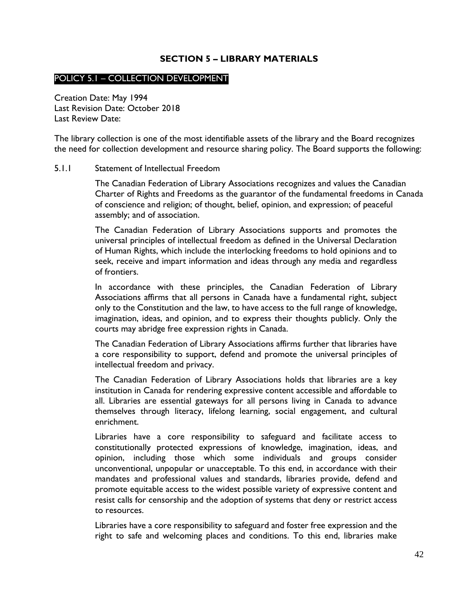### **SECTION 5 – LIBRARY MATERIALS**

#### <span id="page-41-1"></span><span id="page-41-0"></span>POLICY 5.1 – COLLECTION DEVELOPMENT

Creation Date: May 1994 Last Revision Date: October 2018 Last Review Date:

The library collection is one of the most identifiable assets of the library and the Board recognizes the need for collection development and resource sharing policy. The Board supports the following:

#### <span id="page-41-2"></span>5.1.1 Statement of Intellectual Freedom

The Canadian Federation of Library Associations recognizes and values the Canadian Charter of Rights and Freedoms as the guarantor of the fundamental freedoms in Canada of conscience and religion; of thought, belief, opinion, and expression; of peaceful assembly; and of association.

The Canadian Federation of Library Associations supports and promotes the universal principles of intellectual freedom as defined in the Universal Declaration of Human Rights, which include the interlocking freedoms to hold opinions and to seek, receive and impart information and ideas through any media and regardless of frontiers.

In accordance with these principles, the Canadian Federation of Library Associations affirms that all persons in Canada have a fundamental right, subject only to the Constitution and the law, to have access to the full range of knowledge, imagination, ideas, and opinion, and to express their thoughts publicly. Only the courts may abridge free expression rights in Canada.

The Canadian Federation of Library Associations affirms further that libraries have a core responsibility to support, defend and promote the universal principles of intellectual freedom and privacy.

The Canadian Federation of Library Associations holds that libraries are a key institution in Canada for rendering expressive content accessible and affordable to all. Libraries are essential gateways for all persons living in Canada to advance themselves through literacy, lifelong learning, social engagement, and cultural enrichment.

Libraries have a core responsibility to safeguard and facilitate access to constitutionally protected expressions of knowledge, imagination, ideas, and opinion, including those which some individuals and groups consider unconventional, unpopular or unacceptable. To this end, in accordance with their mandates and professional values and standards, libraries provide, defend and promote equitable access to the widest possible variety of expressive content and resist calls for censorship and the adoption of systems that deny or restrict access to resources.

Libraries have a core responsibility to safeguard and foster free expression and the right to safe and welcoming places and conditions. To this end, libraries make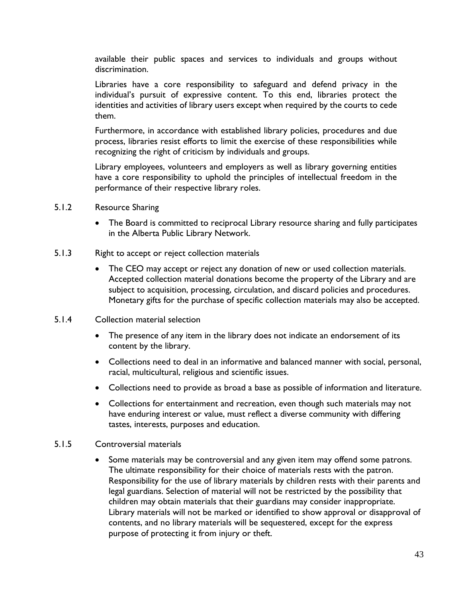available their public spaces and services to individuals and groups without discrimination.

Libraries have a core responsibility to safeguard and defend privacy in the individual's pursuit of expressive content. To this end, libraries protect the identities and activities of library users except when required by the courts to cede them.

Furthermore, in accordance with established library policies, procedures and due process, libraries resist efforts to limit the exercise of these responsibilities while recognizing the right of criticism by individuals and groups.

Library employees, volunteers and employers as well as library governing entities have a core responsibility to uphold the principles of intellectual freedom in the performance of their respective library roles.

- <span id="page-42-0"></span>5.1.2 Resource Sharing
	- The Board is committed to reciprocal Library resource sharing and fully participates in the Alberta Public Library Network.
- <span id="page-42-1"></span>5.1.3 Right to accept or reject collection materials
	- The CEO may accept or reject any donation of new or used collection materials. Accepted collection material donations become the property of the Library and are subject to acquisition, processing, circulation, and discard policies and procedures. Monetary gifts for the purchase of specific collection materials may also be accepted.
- <span id="page-42-2"></span>5.1.4 Collection material selection
	- The presence of any item in the library does not indicate an endorsement of its content by the library.
	- Collections need to deal in an informative and balanced manner with social, personal, racial, multicultural, religious and scientific issues.
	- Collections need to provide as broad a base as possible of information and literature.
	- Collections for entertainment and recreation, even though such materials may not have enduring interest or value, must reflect a diverse community with differing tastes, interests, purposes and education.

### <span id="page-42-3"></span>5.1.5 Controversial materials

• Some materials may be controversial and any given item may offend some patrons. The ultimate responsibility for their choice of materials rests with the patron. Responsibility for the use of library materials by children rests with their parents and legal guardians. Selection of material will not be restricted by the possibility that children may obtain materials that their guardians may consider inappropriate. Library materials will not be marked or identified to show approval or disapproval of contents, and no library materials will be sequestered, except for the express purpose of protecting it from injury or theft.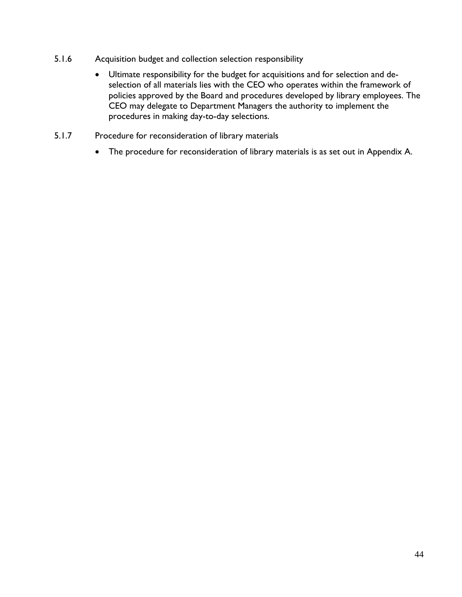- <span id="page-43-0"></span>5.1.6 Acquisition budget and collection selection responsibility
	- Ultimate responsibility for the budget for acquisitions and for selection and deselection of all materials lies with the CEO who operates within the framework of policies approved by the Board and procedures developed by library employees. The CEO may delegate to Department Managers the authority to implement the procedures in making day-to-day selections.
- <span id="page-43-1"></span>5.1.7 Procedure for reconsideration of library materials
	- The procedure for reconsideration of library materials is as set out in Appendix A.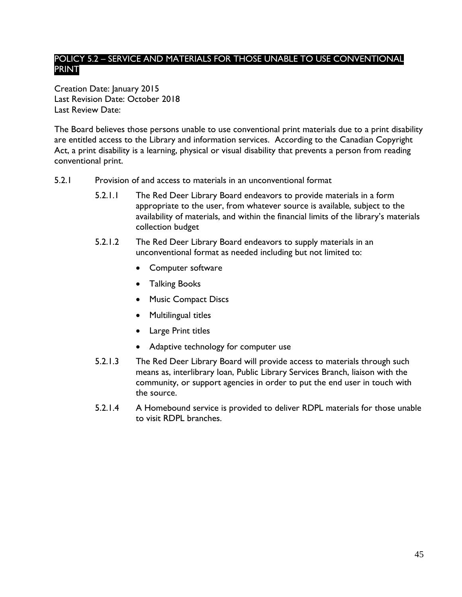# <span id="page-44-0"></span>POLICY 5.2 – SERVICE AND MATERIALS FOR THOSE UNABLE TO USE CONVENTIONAL PRINT

Creation Date: January 2015 Last Revision Date: October 2018 Last Review Date:

The Board believes those persons unable to use conventional print materials due to a print disability are entitled access to the Library and information services. According to the Canadian Copyright Act, a print disability is a learning, physical or visual disability that prevents a person from reading conventional print.

- <span id="page-44-1"></span>5.2.1 Provision of and access to materials in an unconventional format
	- 5.2.1.1 The Red Deer Library Board endeavors to provide materials in a form appropriate to the user, from whatever source is available, subject to the availability of materials, and within the financial limits of the library's materials collection budget
	- 5.2.1.2 The Red Deer Library Board endeavors to supply materials in an unconventional format as needed including but not limited to:
		- Computer software
		- **•** Talking Books
		- Music Compact Discs
		- Multilingual titles
		- Large Print titles
		- Adaptive technology for computer use
	- 5.2.1.3 The Red Deer Library Board will provide access to materials through such means as, interlibrary loan, Public Library Services Branch, liaison with the community, or support agencies in order to put the end user in touch with the source.
	- 5.2.1.4 A Homebound service is provided to deliver RDPL materials for those unable to visit RDPL branches.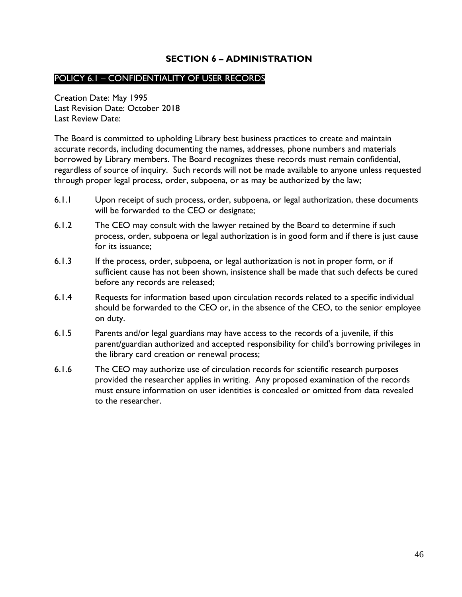# **SECTION 6 – ADMINISTRATION**

### <span id="page-45-1"></span><span id="page-45-0"></span>POLICY 6.1 – CONFIDENTIALITY OF USER RECORDS

Creation Date: May 1995 Last Revision Date: October 2018 Last Review Date:

The Board is committed to upholding Library best business practices to create and maintain accurate records, including documenting the names, addresses, phone numbers and materials borrowed by Library members. The Board recognizes these records must remain confidential, regardless of source of inquiry. Such records will not be made available to anyone unless requested through proper legal process, order, subpoena, or as may be authorized by the law;

- 6.1.1 Upon receipt of such process, order, subpoena, or legal authorization, these documents will be forwarded to the CEO or designate;
- 6.1.2 The CEO may consult with the lawyer retained by the Board to determine if such process, order, subpoena or legal authorization is in good form and if there is just cause for its issuance;
- 6.1.3 If the process, order, subpoena, or legal authorization is not in proper form, or if sufficient cause has not been shown, insistence shall be made that such defects be cured before any records are released;
- 6.1.4 Requests for information based upon circulation records related to a specific individual should be forwarded to the CEO or, in the absence of the CEO, to the senior employee on duty.
- 6.1.5 Parents and/or legal guardians may have access to the records of a juvenile, if this parent/guardian authorized and accepted responsibility for child's borrowing privileges in the library card creation or renewal process;
- 6.1.6 The CEO may authorize use of circulation records for scientific research purposes provided the researcher applies in writing. Any proposed examination of the records must ensure information on user identities is concealed or omitted from data revealed to the researcher.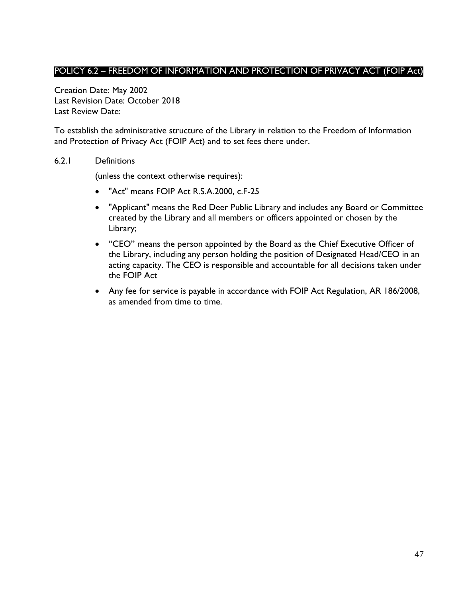# <span id="page-46-0"></span>POLICY 6.2 – FREEDOM OF INFORMATION AND PROTECTION OF PRIVACY ACT (FOIP Act)

Creation Date: May 2002 Last Revision Date: October 2018 Last Review Date:

To establish the administrative structure of the Library in relation to the Freedom of Information and Protection of Privacy Act (FOIP Act) and to set fees there under.

#### <span id="page-46-1"></span>6.2.1 Definitions

(unless the context otherwise requires):

- "Act" means FOIP Act R.S.A.2000, c.F-25
- "Applicant" means the Red Deer Public Library and includes any Board or Committee created by the Library and all members or officers appointed or chosen by the Library;
- "CEO" means the person appointed by the Board as the Chief Executive Officer of the Library, including any person holding the position of Designated Head/CEO in an acting capacity. The CEO is responsible and accountable for all decisions taken under the FOIP Act
- Any fee for service is payable in accordance with FOIP Act Regulation, AR 186/2008, as amended from time to time.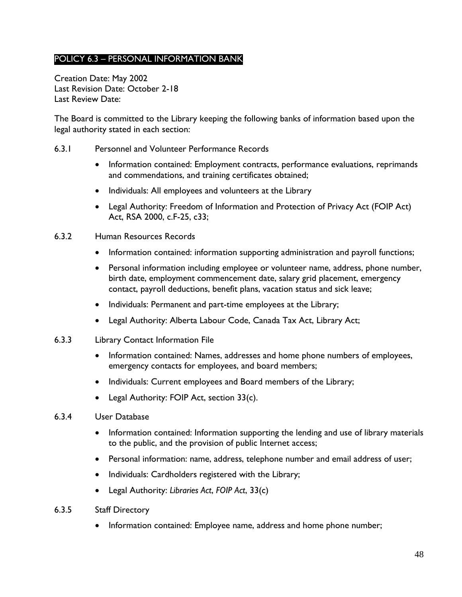# <span id="page-47-0"></span>POLICY 6.3 – PERSONAL INFORMATION BANK

Creation Date: May 2002 Last Revision Date: October 2-18 Last Review Date:

The Board is committed to the Library keeping the following banks of information based upon the legal authority stated in each section:

- <span id="page-47-1"></span>6.3.1 Personnel and Volunteer Performance Records
	- Information contained: Employment contracts, performance evaluations, reprimands and commendations, and training certificates obtained;
	- Individuals: All employees and volunteers at the Library
	- Legal Authority: Freedom of Information and Protection of Privacy Act (FOIP Act) Act, RSA 2000, c.F-25, c33;
- <span id="page-47-2"></span>6.3.2 Human Resources Records
	- Information contained: information supporting administration and payroll functions;
	- Personal information including employee or volunteer name, address, phone number, birth date, employment commencement date, salary grid placement, emergency contact, payroll deductions, benefit plans, vacation status and sick leave;
	- Individuals: Permanent and part-time employees at the Library;
	- Legal Authority: Alberta Labour Code, Canada Tax Act, Library Act;
- <span id="page-47-3"></span>6.3.3 Library Contact Information File
	- Information contained: Names, addresses and home phone numbers of employees, emergency contacts for employees, and board members;
	- Individuals: Current employees and Board members of the Library;
	- Legal Authority: FOIP Act, section 33(c).
- <span id="page-47-4"></span>6.3.4 User Database
	- Information contained: Information supporting the lending and use of library materials to the public, and the provision of public Internet access;
	- Personal information: name, address, telephone number and email address of user;
	- Individuals: Cardholders registered with the Library;
	- Legal Authority: *Libraries Act*, *FOIP Act*, 33(c)
- <span id="page-47-5"></span>6.3.5 Staff Directory
	- Information contained: Employee name, address and home phone number;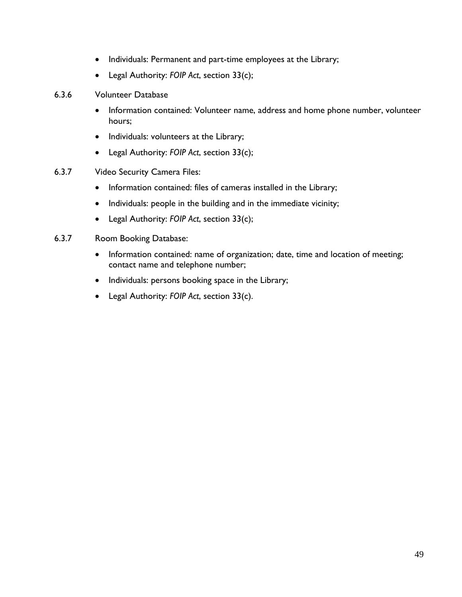- Individuals: Permanent and part-time employees at the Library;
- Legal Authority: *FOIP Act*, section 33(c);
- <span id="page-48-0"></span>6.3.6 Volunteer Database
	- Information contained: Volunteer name, address and home phone number, volunteer hours;
	- Individuals: volunteers at the Library;
	- Legal Authority: *FOIP Act*, section 33(c);
- <span id="page-48-1"></span>6.3.7 Video Security Camera Files:
	- Information contained: files of cameras installed in the Library;
	- Individuals: people in the building and in the immediate vicinity;
	- Legal Authority: *FOIP Act*, section 33(c);
- <span id="page-48-2"></span>6.3.7 Room Booking Database:
	- Information contained: name of organization; date, time and location of meeting; contact name and telephone number;
	- Individuals: persons booking space in the Library;
	- Legal Authority: *FOIP Act*, section 33(c).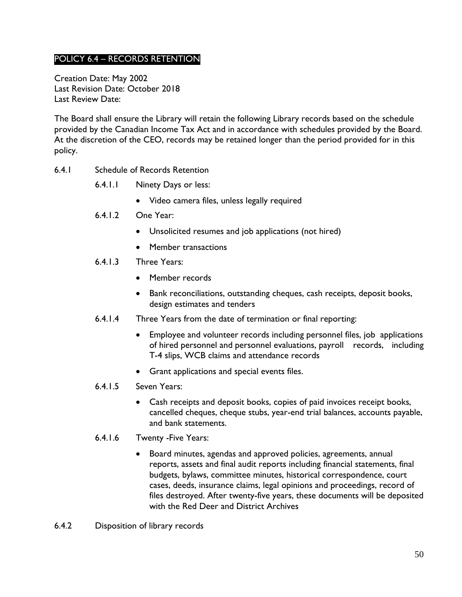# <span id="page-49-0"></span>POLICY 6.4 – RECORDS RETENTION

Creation Date: May 2002 Last Revision Date: October 2018 Last Review Date:

The Board shall ensure the Library will retain the following Library records based on the schedule provided by the Canadian Income Tax Act and in accordance with schedules provided by the Board. At the discretion of the CEO, records may be retained longer than the period provided for in this policy.

- <span id="page-49-1"></span>6.4.1 Schedule of Records Retention
	- 6.4.1.1 Ninety Days or less:
		- Video camera files, unless legally required
	- 6.4.1.2 One Year:
		- Unsolicited resumes and job applications (not hired)
		- Member transactions
	- 6.4.1.3 Three Years:
		- Member records
		- Bank reconciliations, outstanding cheques, cash receipts, deposit books, design estimates and tenders
	- 6.4.1.4 Three Years from the date of termination or final reporting:
		- Employee and volunteer records including personnel files, job applications of hired personnel and personnel evaluations, payroll records, including T-4 slips, WCB claims and attendance records
		- Grant applications and special events files.
	- 6.4.1.5 Seven Years:
		- Cash receipts and deposit books, copies of paid invoices receipt books, cancelled cheques, cheque stubs, year-end trial balances, accounts payable, and bank statements.
	- 6.4.1.6 Twenty -Five Years:
		- Board minutes, agendas and approved policies, agreements, annual reports, assets and final audit reports including financial statements, final budgets, bylaws, committee minutes, historical correspondence, court cases, deeds, insurance claims, legal opinions and proceedings, record of files destroyed. After twenty-five years, these documents will be deposited with the Red Deer and District Archives
- <span id="page-49-2"></span>6.4.2 Disposition of library records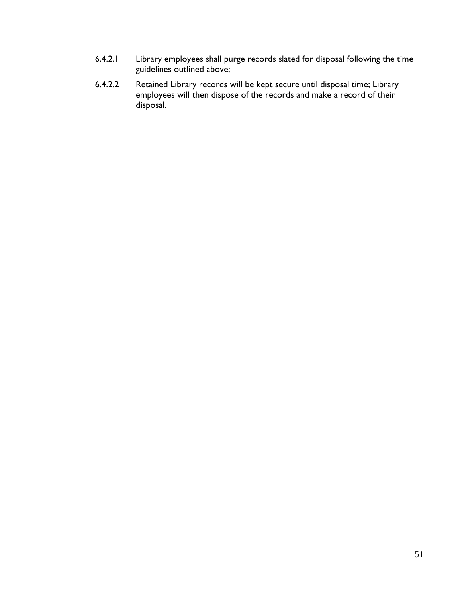- 6.4.2.1 Library employees shall purge records slated for disposal following the time guidelines outlined above;
- 6.4.2.2 Retained Library records will be kept secure until disposal time; Library employees will then dispose of the records and make a record of their disposal.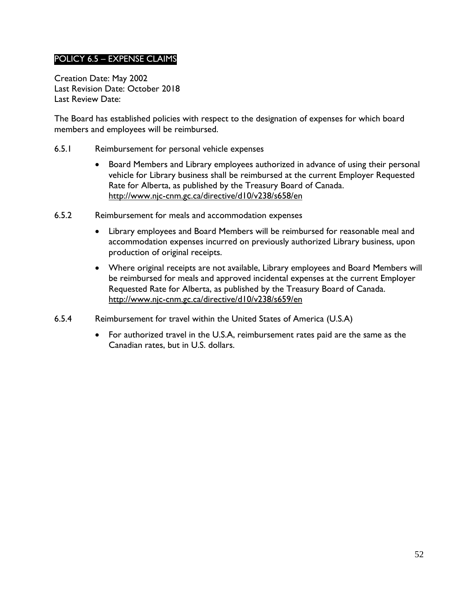# <span id="page-51-0"></span>POLICY 6.5 – EXPENSE CLAIMS

Creation Date: May 2002 Last Revision Date: October 2018 Last Review Date:

The Board has established policies with respect to the designation of expenses for which board members and employees will be reimbursed.

- <span id="page-51-1"></span>6.5.1 Reimbursement for personal vehicle expenses
	- Board Members and Library employees authorized in advance of using their personal vehicle for Library business shall be reimbursed at the current Employer Requested Rate for Alberta, as published by the Treasury Board of Canada. <http://www.njc-cnm.gc.ca/directive/d10/v238/s658/en>
- <span id="page-51-2"></span>6.5.2 Reimbursement for meals and accommodation expenses
	- Library employees and Board Members will be reimbursed for reasonable meal and accommodation expenses incurred on previously authorized Library business, upon production of original receipts.
	- Where original receipts are not available, Library employees and Board Members will be reimbursed for meals and approved incidental expenses at the current Employer Requested Rate for Alberta, as published by the Treasury Board of Canada. <http://www.njc-cnm.gc.ca/directive/d10/v238/s659/en>
- <span id="page-51-3"></span>6.5.4 Reimbursement for travel within the United States of America (U.S.A)
	- For authorized travel in the U.S.A, reimbursement rates paid are the same as the Canadian rates, but in U.S. dollars.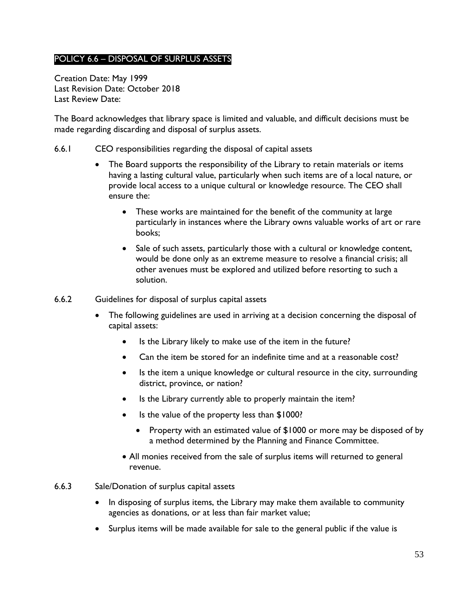# <span id="page-52-0"></span>POLICY 6.6 – DISPOSAL OF SURPLUS ASSETS

Creation Date: May 1999 Last Revision Date: October 2018 Last Review Date:

The Board acknowledges that library space is limited and valuable, and difficult decisions must be made regarding discarding and disposal of surplus assets.

- <span id="page-52-1"></span>6.6.1 CEO responsibilities regarding the disposal of capital assets
	- The Board supports the responsibility of the Library to retain materials or items having a lasting cultural value, particularly when such items are of a local nature, or provide local access to a unique cultural or knowledge resource. The CEO shall ensure the:
		- These works are maintained for the benefit of the community at large particularly in instances where the Library owns valuable works of art or rare books;
		- Sale of such assets, particularly those with a cultural or knowledge content, would be done only as an extreme measure to resolve a financial crisis; all other avenues must be explored and utilized before resorting to such a solution.
- <span id="page-52-2"></span>6.6.2 Guidelines for disposal of surplus capital assets
	- The following guidelines are used in arriving at a decision concerning the disposal of capital assets:
		- Is the Library likely to make use of the item in the future?
		- Can the item be stored for an indefinite time and at a reasonable cost?
		- Is the item a unique knowledge or cultural resource in the city, surrounding district, province, or nation?
		- Is the Library currently able to properly maintain the item?
		- Is the value of the property less than \$1000?
			- Property with an estimated value of \$1000 or more may be disposed of by a method determined by the Planning and Finance Committee.
		- All monies received from the sale of surplus items will returned to general revenue.
- <span id="page-52-3"></span>6.6.3 Sale/Donation of surplus capital assets
	- In disposing of surplus items, the Library may make them available to community agencies as donations, or at less than fair market value;
	- Surplus items will be made available for sale to the general public if the value is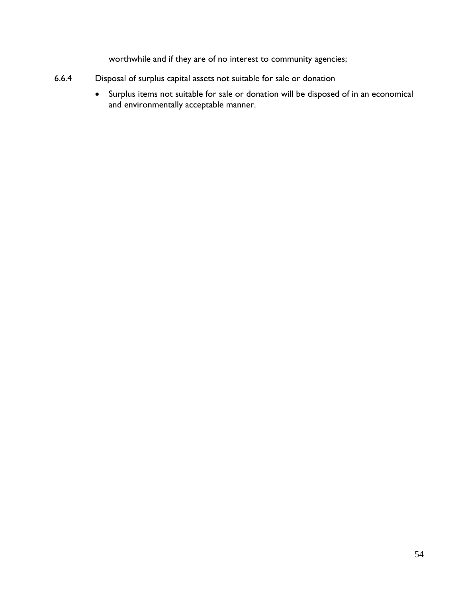worthwhile and if they are of no interest to community agencies;

- <span id="page-53-0"></span>6.6.4 Disposal of surplus capital assets not suitable for sale or donation
	- Surplus items not suitable for sale or donation will be disposed of in an economical and environmentally acceptable manner.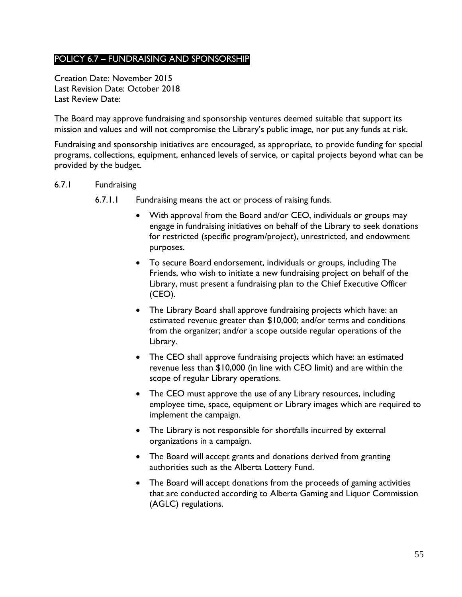## <span id="page-54-0"></span>POLICY 6.7 – FUNDRAISING AND SPONSORSHIP

Creation Date: November 2015 Last Revision Date: October 2018 Last Review Date:

The Board may approve fundraising and sponsorship ventures deemed suitable that support its mission and values and will not compromise the Library's public image, nor put any funds at risk.

Fundraising and sponsorship initiatives are encouraged, as appropriate, to provide funding for special programs, collections, equipment, enhanced levels of service, or capital projects beyond what can be provided by the budget.

- <span id="page-54-1"></span>6.7.1 Fundraising
	- 6.7.1.1 Fundraising means the act or process of raising funds.
		- With approval from the Board and/or CEO, individuals or groups may engage in fundraising initiatives on behalf of the Library to seek donations for restricted (specific program/project), unrestricted, and endowment purposes.
		- To secure Board endorsement, individuals or groups, including The Friends, who wish to initiate a new fundraising project on behalf of the Library, must present a fundraising plan to the Chief Executive Officer (CEO).
		- The Library Board shall approve fundraising projects which have: an estimated revenue greater than \$10,000; and/or terms and conditions from the organizer; and/or a scope outside regular operations of the Library.
		- The CEO shall approve fundraising projects which have: an estimated revenue less than \$10,000 (in line with CEO limit) and are within the scope of regular Library operations.
		- The CEO must approve the use of any Library resources, including employee time, space, equipment or Library images which are required to implement the campaign.
		- The Library is not responsible for shortfalls incurred by external organizations in a campaign.
		- The Board will accept grants and donations derived from granting authorities such as the Alberta Lottery Fund.
		- The Board will accept donations from the proceeds of gaming activities that are conducted according to Alberta Gaming and Liquor Commission (AGLC) regulations.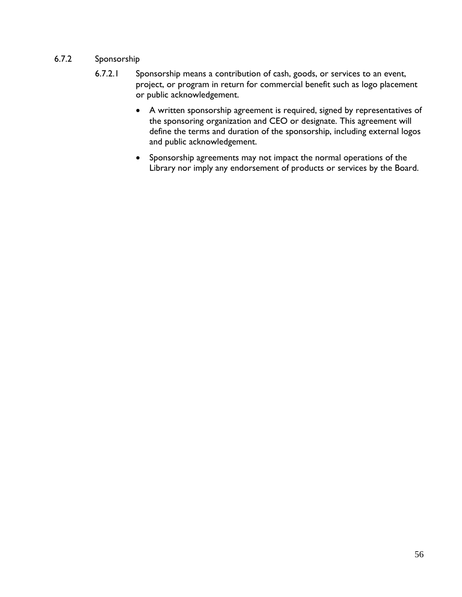### <span id="page-55-0"></span>6.7.2 Sponsorship

- 6.7.2.1 Sponsorship means a contribution of cash, goods, or services to an event, project, or program in return for commercial benefit such as logo placement or public acknowledgement.
	- A written sponsorship agreement is required, signed by representatives of the sponsoring organization and CEO or designate. This agreement will define the terms and duration of the sponsorship, including external logos and public acknowledgement.
	- Sponsorship agreements may not impact the normal operations of the Library nor imply any endorsement of products or services by the Board.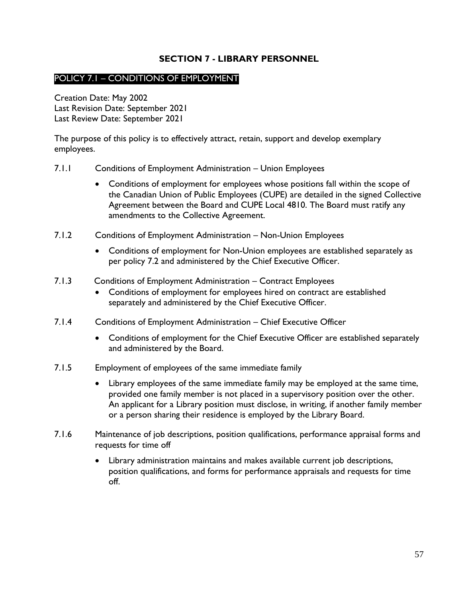### **SECTION 7 - LIBRARY PERSONNEL**

### <span id="page-56-1"></span><span id="page-56-0"></span>POLICY 7.1 – CONDITIONS OF EMPLOYMENT

Creation Date: May 2002 Last Revision Date: September 2021 Last Review Date: September 2021

The purpose of this policy is to effectively attract, retain, support and develop exemplary employees.

- <span id="page-56-2"></span>7.1.1 Conditions of Employment Administration – Union Employees
	- Conditions of employment for employees whose positions fall within the scope of the Canadian Union of Public Employees (CUPE) are detailed in the signed Collective Agreement between the Board and CUPE Local 4810. The Board must ratify any amendments to the Collective Agreement.
- <span id="page-56-3"></span>7.1.2 Conditions of Employment Administration – Non-Union Employees
	- Conditions of employment for Non-Union employees are established separately as per policy 7.2 and administered by the Chief Executive Officer.
- 7.1.3 Conditions of Employment Administration Contract Employees
	- Conditions of employment for employees hired on contract are established separately and administered by the Chief Executive Officer.
- <span id="page-56-4"></span>7.1.4 Conditions of Employment Administration – Chief Executive Officer
	- Conditions of employment for the Chief Executive Officer are established separately and administered by the Board.
- <span id="page-56-5"></span>7.1.5 Employment of employees of the same immediate family
	- Library employees of the same immediate family may be employed at the same time, provided one family member is not placed in a supervisory position over the other. An applicant for a Library position must disclose, in writing, if another family member or a person sharing their residence is employed by the Library Board.
- <span id="page-56-6"></span>7.1.6 Maintenance of job descriptions, position qualifications, performance appraisal forms and requests for time off
	- Library administration maintains and makes available current job descriptions, position qualifications, and forms for performance appraisals and requests for time off.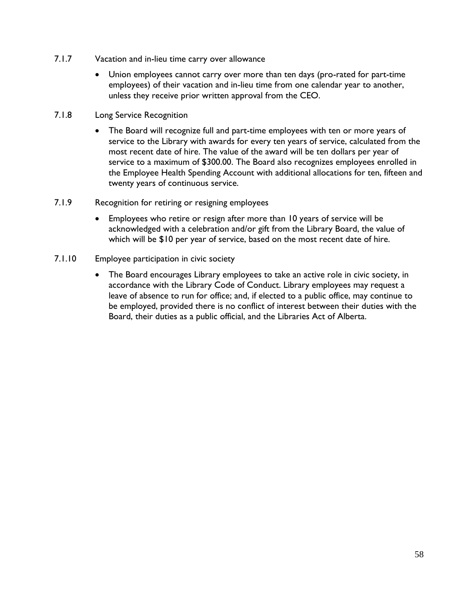- <span id="page-57-0"></span>7.1.7 Vacation and in-lieu time carry over allowance
	- Union employees cannot carry over more than ten days (pro-rated for part-time employees) of their vacation and in-lieu time from one calendar year to another, unless they receive prior written approval from the CEO.
- <span id="page-57-1"></span>7.1.8 Long Service Recognition
	- The Board will recognize full and part-time employees with ten or more years of service to the Library with awards for every ten years of service, calculated from the most recent date of hire. The value of the award will be ten dollars per year of service to a maximum of \$300.00. The Board also recognizes employees enrolled in the Employee Health Spending Account with additional allocations for ten, fifteen and twenty years of continuous service.
- <span id="page-57-2"></span>7.1.9 Recognition for retiring or resigning employees
	- Employees who retire or resign after more than 10 years of service will be acknowledged with a celebration and/or gift from the Library Board, the value of which will be \$10 per year of service, based on the most recent date of hire.
- <span id="page-57-3"></span>7.1.10 Employee participation in civic society
	- The Board encourages Library employees to take an active role in civic society, in accordance with the Library Code of Conduct. Library employees may request a leave of absence to run for office; and, if elected to a public office, may continue to be employed, provided there is no conflict of interest between their duties with the Board, their duties as a public official, and the Libraries Act of Alberta.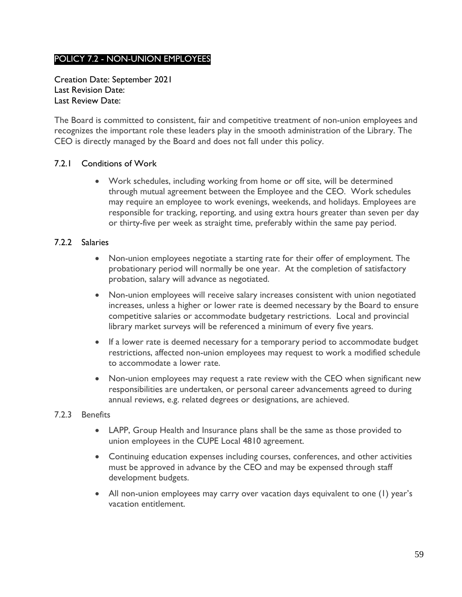# <span id="page-58-0"></span>POLICY 7.2 - NON-UNION EMPLOYEES

Creation Date: September 2021 Last Revision Date: Last Review Date:

The Board is committed to consistent, fair and competitive treatment of non-union employees and recognizes the important role these leaders play in the smooth administration of the Library. The CEO is directly managed by the Board and does not fall under this policy.

### <span id="page-58-1"></span>7.2.1 Conditions of Work

 Work schedules, including working from home or off site, will be determined through mutual agreement between the Employee and the CEO. Work schedules may require an employee to work evenings, weekends, and holidays. Employees are responsible for tracking, reporting, and using extra hours greater than seven per day or thirty-five per week as straight time, preferably within the same pay period.

#### <span id="page-58-2"></span>7.2.2 Salaries

- Non-union employees negotiate a starting rate for their offer of employment. The probationary period will normally be one year. At the completion of satisfactory probation, salary will advance as negotiated.
- Non-union employees will receive salary increases consistent with union negotiated increases, unless a higher or lower rate is deemed necessary by the Board to ensure competitive salaries or accommodate budgetary restrictions. Local and provincial library market surveys will be referenced a minimum of every five years.
- If a lower rate is deemed necessary for a temporary period to accommodate budget restrictions, affected non-union employees may request to work a modified schedule to accommodate a lower rate.
- Non-union employees may request a rate review with the CEO when significant new responsibilities are undertaken, or personal career advancements agreed to during annual reviews, e.g. related degrees or designations, are achieved.
- <span id="page-58-3"></span>7.2.3 Benefits
	- LAPP, Group Health and Insurance plans shall be the same as those provided to union employees in the CUPE Local 4810 agreement.
	- Continuing education expenses including courses, conferences, and other activities must be approved in advance by the CEO and may be expensed through staff development budgets.
	- All non-union employees may carry over vacation days equivalent to one (1) year's vacation entitlement.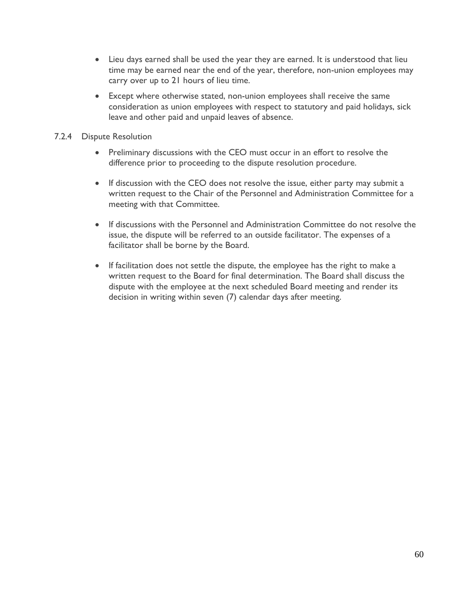- Lieu days earned shall be used the year they are earned. It is understood that lieu time may be earned near the end of the year, therefore, non-union employees may carry over up to 21 hours of lieu time.
- Except where otherwise stated, non-union employees shall receive the same consideration as union employees with respect to statutory and paid holidays, sick leave and other paid and unpaid leaves of absence.

### <span id="page-59-0"></span>7.2.4 Dispute Resolution

- Preliminary discussions with the CEO must occur in an effort to resolve the difference prior to proceeding to the dispute resolution procedure.
- If discussion with the CEO does not resolve the issue, either party may submit a written request to the Chair of the Personnel and Administration Committee for a meeting with that Committee.
- If discussions with the Personnel and Administration Committee do not resolve the issue, the dispute will be referred to an outside facilitator. The expenses of a facilitator shall be borne by the Board.
- If facilitation does not settle the dispute, the employee has the right to make a written request to the Board for final determination. The Board shall discuss the dispute with the employee at the next scheduled Board meeting and render its decision in writing within seven (7) calendar days after meeting.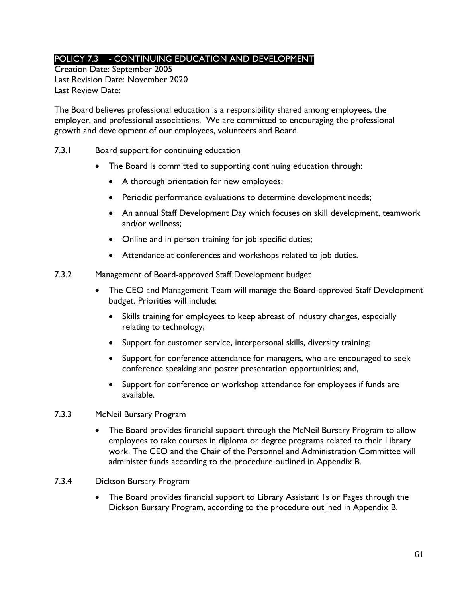# <span id="page-60-0"></span>POLICY 7.3 - CONTINUING EDUCATION AND DEVELOPMENT

Creation Date: September 2005 Last Revision Date: November 2020 Last Review Date:

The Board believes professional education is a responsibility shared among employees, the employer, and professional associations. We are committed to encouraging the professional growth and development of our employees, volunteers and Board.

- <span id="page-60-1"></span>7.3.1 Board support for continuing education
	- The Board is committed to supporting continuing education through:
		- A thorough orientation for new employees;
		- Periodic performance evaluations to determine development needs;
		- An annual Staff Development Day which focuses on skill development, teamwork and/or wellness;
		- Online and in person training for job specific duties;
		- Attendance at conferences and workshops related to job duties.
- <span id="page-60-2"></span>7.3.2 Management of Board-approved Staff Development budget
	- The CEO and Management Team will manage the Board-approved Staff Development budget. Priorities will include:
		- Skills training for employees to keep abreast of industry changes, especially relating to technology;
		- Support for customer service, interpersonal skills, diversity training;
		- Support for conference attendance for managers, who are encouraged to seek conference speaking and poster presentation opportunities; and,
		- Support for conference or workshop attendance for employees if funds are available.
- <span id="page-60-3"></span>7.3.3 McNeil Bursary Program
	- The Board provides financial support through the McNeil Bursary Program to allow employees to take courses in diploma or degree programs related to their Library work. The CEO and the Chair of the Personnel and Administration Committee will administer funds according to the procedure outlined in [Appendix B.](#page-66-0)
- <span id="page-60-4"></span>7.3.4 Dickson Bursary Program
	- The Board provides financial support to Library Assistant 1s or Pages through the Dickson Bursary Program, according to the procedure outlined in Appendix B.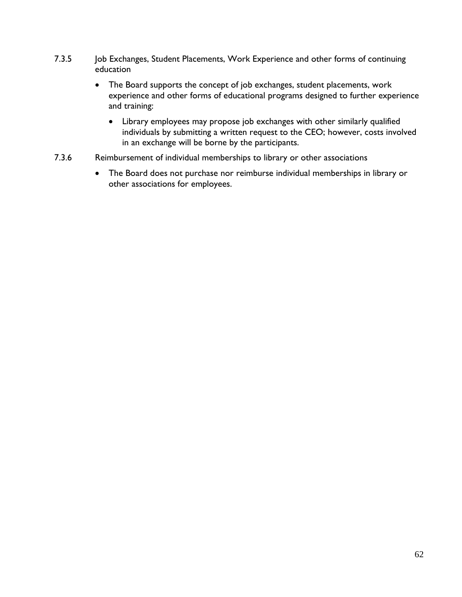- <span id="page-61-0"></span>7.3.5 Job Exchanges, Student Placements, Work Experience and other forms of continuing education
	- The Board supports the concept of job exchanges, student placements, work experience and other forms of educational programs designed to further experience and training:
		- Library employees may propose job exchanges with other similarly qualified individuals by submitting a written request to the CEO; however, costs involved in an exchange will be borne by the participants.
- <span id="page-61-1"></span>7.3.6 Reimbursement of individual memberships to library or other associations
	- The Board does not purchase nor reimburse individual memberships in library or other associations for employees.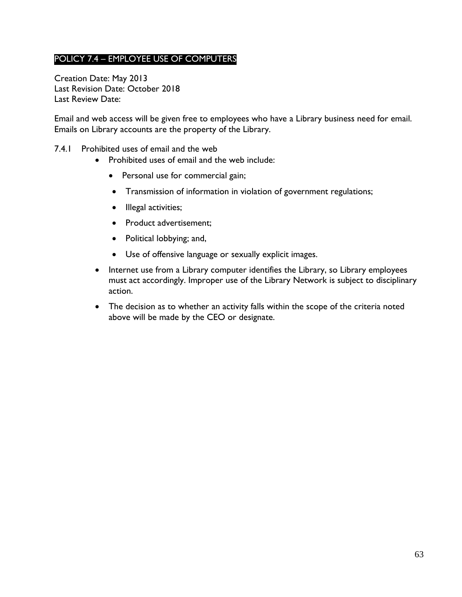# <span id="page-62-0"></span>POLICY 7.4 – EMPLOYEE USE OF COMPUTERS

Creation Date: May 2013 Last Revision Date: October 2018 Last Review Date:

Email and web access will be given free to employees who have a Library business need for email. Emails on Library accounts are the property of the Library.

- <span id="page-62-1"></span>7.4.1 Prohibited uses of email and the web
	- Prohibited uses of email and the web include:
		- Personal use for commercial gain;
		- Transmission of information in violation of government regulations;
		- Illegal activities;
		- Product advertisement;
		- Political lobbying; and,
		- Use of offensive language or sexually explicit images.
	- Internet use from a Library computer identifies the Library, so Library employees must act accordingly. Improper use of the Library Network is subject to disciplinary action.
	- The decision as to whether an activity falls within the scope of the criteria noted above will be made by the CEO or designate.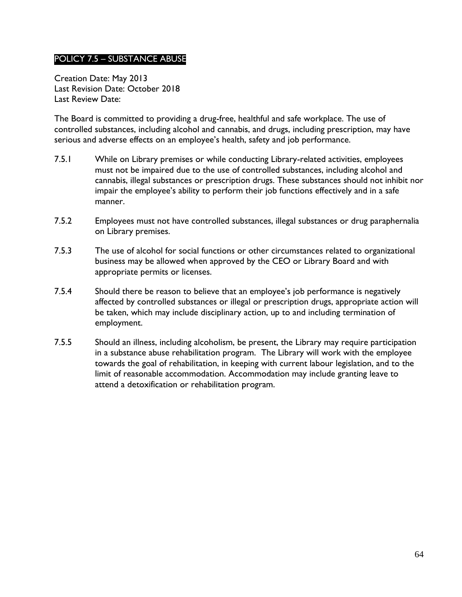### <span id="page-63-0"></span>POLICY 7.5 – SUBSTANCE ABUSE

Creation Date: May 2013 Last Revision Date: October 2018 Last Review Date:

The Board is committed to providing a drug-free, healthful and safe workplace. The use of controlled substances, including alcohol and cannabis, and drugs, including prescription, may have serious and adverse effects on an employee's health, safety and job performance.

- 7.5.1 While on Library premises or while conducting Library-related activities, employees must not be impaired due to the use of controlled substances, including alcohol and cannabis, illegal substances or prescription drugs. These substances should not inhibit nor impair the employee's ability to perform their job functions effectively and in a safe manner.
- 7.5.2 Employees must not have controlled substances, illegal substances or drug paraphernalia on Library premises.
- 7.5.3 The use of alcohol for social functions or other circumstances related to organizational business may be allowed when approved by the CEO or Library Board and with appropriate permits or licenses.
- 7.5.4 Should there be reason to believe that an employee's job performance is negatively affected by controlled substances or illegal or prescription drugs, appropriate action will be taken, which may include disciplinary action, up to and including termination of employment.
- 7.5.5 Should an illness, including alcoholism, be present, the Library may require participation in a substance abuse rehabilitation program. The Library will work with the employee towards the goal of rehabilitation, in keeping with current labour legislation, and to the limit of reasonable accommodation. Accommodation may include granting leave to attend a detoxification or rehabilitation program.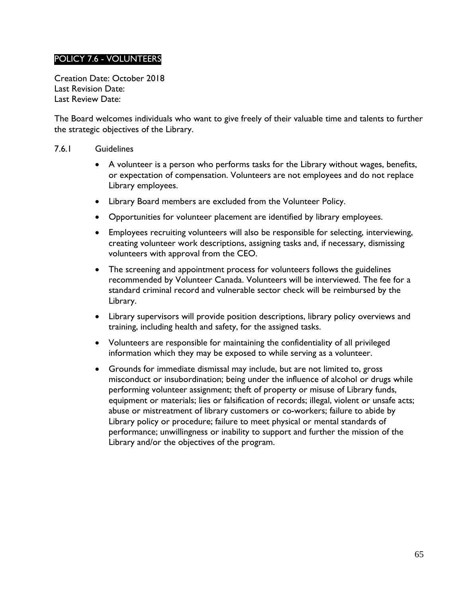# <span id="page-64-0"></span>POLICY 7.6 - VOLUNTEERS

Creation Date: October 2018 Last Revision Date: Last Review Date:

The Board welcomes individuals who want to give freely of their valuable time and talents to further the strategic objectives of the Library.

#### <span id="page-64-1"></span>7.6.1 Guidelines

- A volunteer is a person who performs tasks for the Library without wages, benefits, or expectation of compensation. Volunteers are not employees and do not replace Library employees.
- Library Board members are excluded from the Volunteer Policy.
- Opportunities for volunteer placement are identified by library employees.
- Employees recruiting volunteers will also be responsible for selecting, interviewing, creating volunteer work descriptions, assigning tasks and, if necessary, dismissing volunteers with approval from the CEO.
- The screening and appointment process for volunteers follows the guidelines recommended by Volunteer Canada. Volunteers will be interviewed. The fee for a standard criminal record and vulnerable sector check will be reimbursed by the Library.
- Library supervisors will provide position descriptions, library policy overviews and training, including health and safety, for the assigned tasks.
- Volunteers are responsible for maintaining the confidentiality of all privileged information which they may be exposed to while serving as a volunteer.
- Grounds for immediate dismissal may include, but are not limited to, gross misconduct or insubordination; being under the influence of alcohol or drugs while performing volunteer assignment; theft of property or misuse of Library funds, equipment or materials; lies or falsification of records; illegal, violent or unsafe acts; abuse or mistreatment of library customers or co-workers; failure to abide by Library policy or procedure; failure to meet physical or mental standards of performance; unwillingness or inability to support and further the mission of the Library and/or the objectives of the program.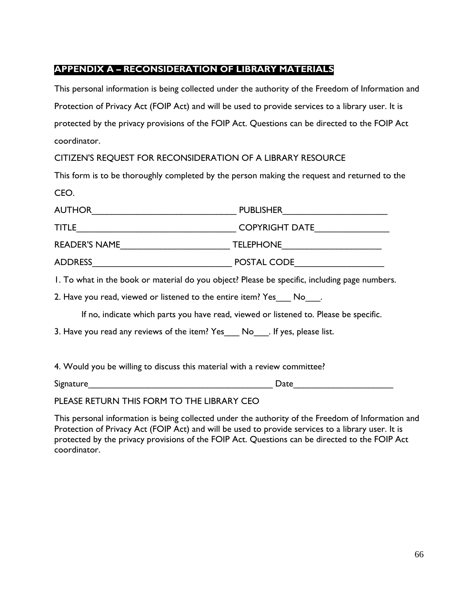# <span id="page-65-0"></span>**APPENDIX A – RECONSIDERATION OF LIBRARY MATERIALS**

This personal information is being collected under the authority of the Freedom of Information and Protection of Privacy Act (FOIP Act) and will be used to provide services to a library user. It is protected by the privacy provisions of the FOIP Act. Questions can be directed to the FOIP Act coordinator.

CITIZEN'S REQUEST FOR RECONSIDERATION OF A LIBRARY RESOURCE

This form is to be thoroughly completed by the person making the request and returned to the CEO.

| <b>AUTHOR</b>                                                                                 |                       |  |  |
|-----------------------------------------------------------------------------------------------|-----------------------|--|--|
| <b>TITLE</b>                                                                                  | <b>COPYRIGHT DATE</b> |  |  |
| READER'S NAME                                                                                 |                       |  |  |
| ADDRESS ADDRESS                                                                               | POSTAL CODE           |  |  |
| I. To what in the book or material do you object? Please be specific, including page numbers. |                       |  |  |
| 2. Have you read, viewed or listened to the entire item? Yes No.                              |                       |  |  |
| If no, indicate which parts you have read, viewed or listened to. Please be specific.         |                       |  |  |
| 3. Have you read any reviews of the item? Yes ___ No ___ . If yes, please list.               |                       |  |  |
|                                                                                               |                       |  |  |
| 4. Would you be willing to discuss this material with a review committee?                     |                       |  |  |

Signature\_\_\_\_\_\_\_\_\_\_\_\_\_\_\_\_\_\_\_\_\_\_\_\_\_\_\_\_\_\_\_\_\_\_\_\_\_ Date\_\_\_\_\_\_\_\_\_\_\_\_\_\_\_\_\_\_\_\_

PLEASE RETURN THIS FORM TO THE LIBRARY CEO

This personal information is being collected under the authority of the Freedom of Information and Protection of Privacy Act (FOIP Act) and will be used to provide services to a library user. It is protected by the privacy provisions of the FOIP Act. Questions can be directed to the FOIP Act coordinator.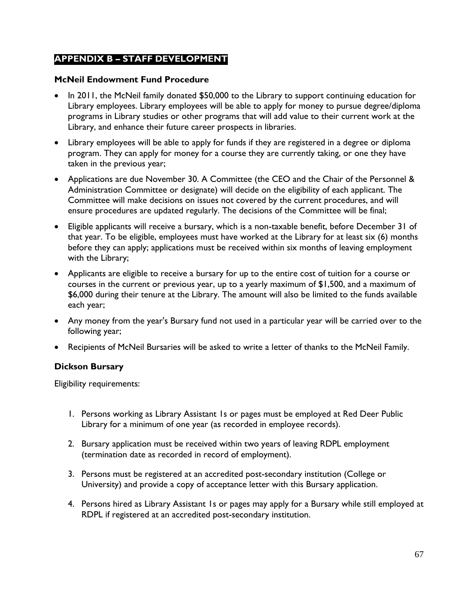# <span id="page-66-0"></span>**APPENDIX B – STAFF DEVELOPMENT**

### **McNeil Endowment Fund Procedure**

- In 2011, the McNeil family donated \$50,000 to the Library to support continuing education for Library employees. Library employees will be able to apply for money to pursue degree/diploma programs in Library studies or other programs that will add value to their current work at the Library, and enhance their future career prospects in libraries.
- Library employees will be able to apply for funds if they are registered in a degree or diploma program. They can apply for money for a course they are currently taking, or one they have taken in the previous year;
- Applications are due November 30. A Committee (the CEO and the Chair of the Personnel & Administration Committee or designate) will decide on the eligibility of each applicant. The Committee will make decisions on issues not covered by the current procedures, and will ensure procedures are updated regularly. The decisions of the Committee will be final;
- Eligible applicants will receive a bursary, which is a non-taxable benefit, before December 31 of that year. To be eligible, employees must have worked at the Library for at least six (6) months before they can apply; applications must be received within six months of leaving employment with the Library;
- Applicants are eligible to receive a bursary for up to the entire cost of tuition for a course or courses in the current or previous year, up to a yearly maximum of \$1,500, and a maximum of \$6,000 during their tenure at the Library. The amount will also be limited to the funds available each year;
- Any money from the year's Bursary fund not used in a particular year will be carried over to the following year;
- Recipients of McNeil Bursaries will be asked to write a letter of thanks to the McNeil Family.

### **Dickson Bursary**

Eligibility requirements:

- 1. Persons working as Library Assistant 1s or pages must be employed at Red Deer Public Library for a minimum of one year (as recorded in employee records).
- 2. Bursary application must be received within two years of leaving RDPL employment (termination date as recorded in record of employment).
- 3. Persons must be registered at an accredited post-secondary institution (College or University) and provide a copy of acceptance letter with this Bursary application.
- 4. Persons hired as Library Assistant 1s or pages may apply for a Bursary while still employed at RDPL if registered at an accredited post-secondary institution.